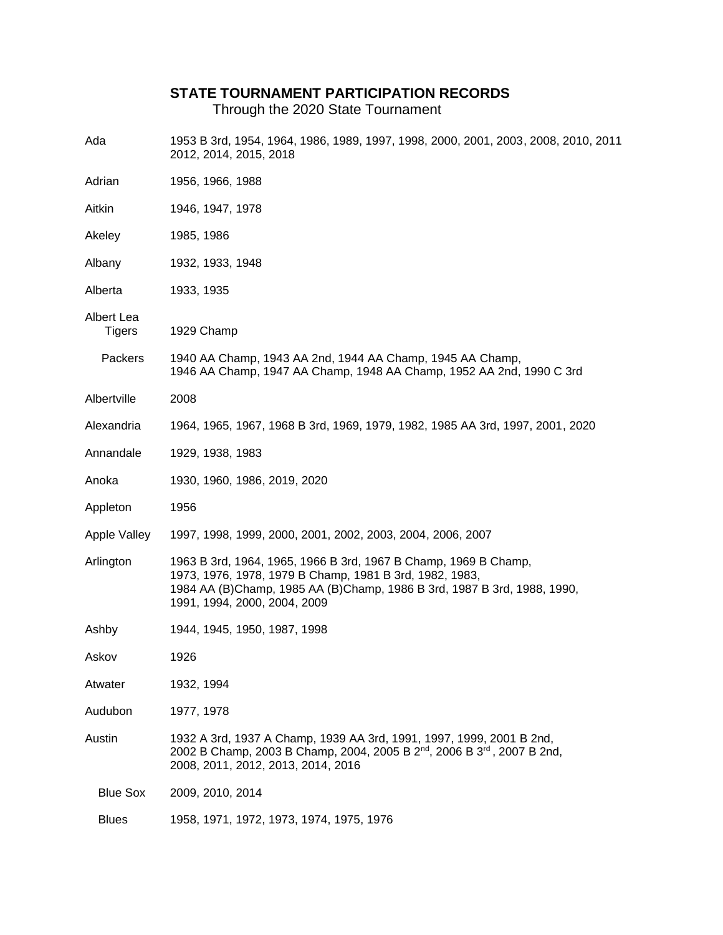## **STATE TOURNAMENT PARTICIPATION RECORDS**

Through the 2020 State Tournament

| Ada                         | 1953 B 3rd, 1954, 1964, 1986, 1989, 1997, 1998, 2000, 2001, 2003, 2008, 2010, 2011<br>2012, 2014, 2015, 2018                                                                                                                          |  |  |
|-----------------------------|---------------------------------------------------------------------------------------------------------------------------------------------------------------------------------------------------------------------------------------|--|--|
| Adrian                      | 1956, 1966, 1988                                                                                                                                                                                                                      |  |  |
| Aitkin                      | 1946, 1947, 1978                                                                                                                                                                                                                      |  |  |
| Akeley                      | 1985, 1986                                                                                                                                                                                                                            |  |  |
| Albany                      | 1932, 1933, 1948                                                                                                                                                                                                                      |  |  |
| Alberta                     | 1933, 1935                                                                                                                                                                                                                            |  |  |
| Albert Lea<br><b>Tigers</b> | 1929 Champ                                                                                                                                                                                                                            |  |  |
| Packers                     | 1940 AA Champ, 1943 AA 2nd, 1944 AA Champ, 1945 AA Champ,<br>1946 AA Champ, 1947 AA Champ, 1948 AA Champ, 1952 AA 2nd, 1990 C 3rd                                                                                                     |  |  |
| Albertville                 | 2008                                                                                                                                                                                                                                  |  |  |
| Alexandria                  | 1964, 1965, 1967, 1968 B 3rd, 1969, 1979, 1982, 1985 AA 3rd, 1997, 2001, 2020                                                                                                                                                         |  |  |
| Annandale                   | 1929, 1938, 1983                                                                                                                                                                                                                      |  |  |
| Anoka                       | 1930, 1960, 1986, 2019, 2020                                                                                                                                                                                                          |  |  |
| Appleton                    | 1956                                                                                                                                                                                                                                  |  |  |
| <b>Apple Valley</b>         | 1997, 1998, 1999, 2000, 2001, 2002, 2003, 2004, 2006, 2007                                                                                                                                                                            |  |  |
| Arlington                   | 1963 B 3rd, 1964, 1965, 1966 B 3rd, 1967 B Champ, 1969 B Champ,<br>1973, 1976, 1978, 1979 B Champ, 1981 B 3rd, 1982, 1983,<br>1984 AA (B)Champ, 1985 AA (B)Champ, 1986 B 3rd, 1987 B 3rd, 1988, 1990,<br>1991, 1994, 2000, 2004, 2009 |  |  |
| Ashby                       | 1944, 1945, 1950, 1987, 1998                                                                                                                                                                                                          |  |  |
| Askov                       | 1926                                                                                                                                                                                                                                  |  |  |
| Atwater                     | 1932, 1994                                                                                                                                                                                                                            |  |  |
| Audubon                     | 1977, 1978                                                                                                                                                                                                                            |  |  |
| Austin                      | 1932 A 3rd, 1937 A Champ, 1939 AA 3rd, 1991, 1997, 1999, 2001 B 2nd,<br>2002 B Champ, 2003 B Champ, 2004, 2005 B 2 <sup>nd</sup> , 2006 B 3 <sup>rd</sup> , 2007 B 2nd,<br>2008, 2011, 2012, 2013, 2014, 2016                         |  |  |
| <b>Blue Sox</b>             | 2009, 2010, 2014                                                                                                                                                                                                                      |  |  |
| <b>Blues</b>                | 1958, 1971, 1972, 1973, 1974, 1975, 1976                                                                                                                                                                                              |  |  |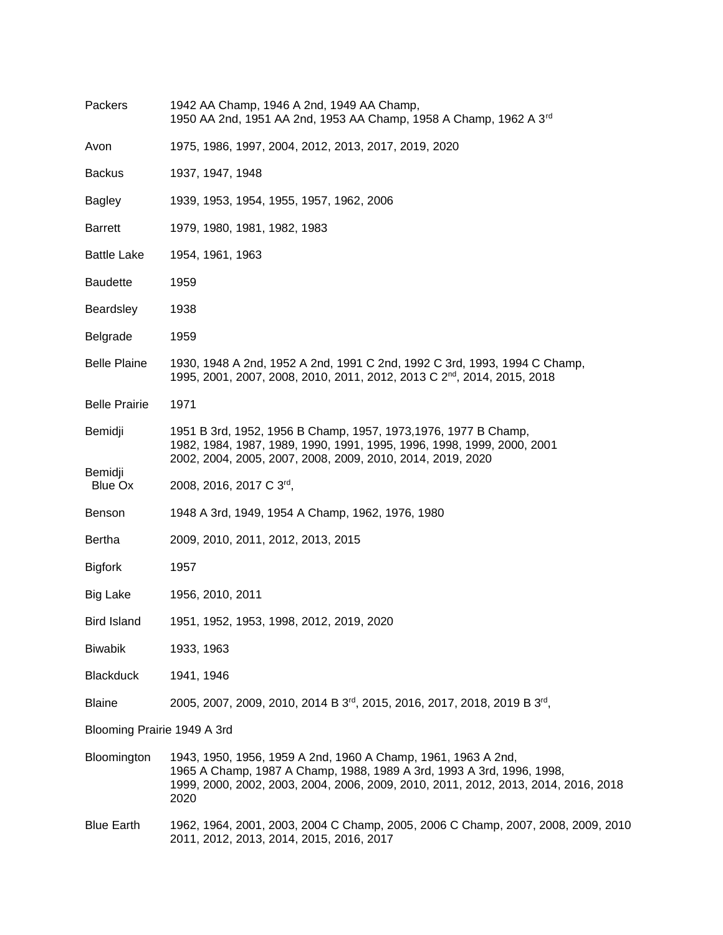| Packers                     | 1942 AA Champ, 1946 A 2nd, 1949 AA Champ,<br>1950 AA 2nd, 1951 AA 2nd, 1953 AA Champ, 1958 A Champ, 1962 A 3rd                                                                                                                       |  |  |
|-----------------------------|--------------------------------------------------------------------------------------------------------------------------------------------------------------------------------------------------------------------------------------|--|--|
| Avon                        | 1975, 1986, 1997, 2004, 2012, 2013, 2017, 2019, 2020                                                                                                                                                                                 |  |  |
| <b>Backus</b>               | 1937, 1947, 1948                                                                                                                                                                                                                     |  |  |
| Bagley                      | 1939, 1953, 1954, 1955, 1957, 1962, 2006                                                                                                                                                                                             |  |  |
| <b>Barrett</b>              | 1979, 1980, 1981, 1982, 1983                                                                                                                                                                                                         |  |  |
| <b>Battle Lake</b>          | 1954, 1961, 1963                                                                                                                                                                                                                     |  |  |
| <b>Baudette</b>             | 1959                                                                                                                                                                                                                                 |  |  |
| Beardsley                   | 1938                                                                                                                                                                                                                                 |  |  |
| Belgrade                    | 1959                                                                                                                                                                                                                                 |  |  |
| <b>Belle Plaine</b>         | 1930, 1948 A 2nd, 1952 A 2nd, 1991 C 2nd, 1992 C 3rd, 1993, 1994 C Champ,<br>1995, 2001, 2007, 2008, 2010, 2011, 2012, 2013 C 2 <sup>nd</sup> , 2014, 2015, 2018                                                                     |  |  |
| <b>Belle Prairie</b>        | 1971                                                                                                                                                                                                                                 |  |  |
| Bemidji                     | 1951 B 3rd, 1952, 1956 B Champ, 1957, 1973, 1976, 1977 B Champ,<br>1982, 1984, 1987, 1989, 1990, 1991, 1995, 1996, 1998, 1999, 2000, 2001<br>2002, 2004, 2005, 2007, 2008, 2009, 2010, 2014, 2019, 2020                              |  |  |
| Bemidji<br>Blue Ox          | 2008, 2016, 2017 C 3rd,                                                                                                                                                                                                              |  |  |
| <b>Benson</b>               | 1948 A 3rd, 1949, 1954 A Champ, 1962, 1976, 1980                                                                                                                                                                                     |  |  |
| <b>Bertha</b>               | 2009, 2010, 2011, 2012, 2013, 2015                                                                                                                                                                                                   |  |  |
| <b>Bigfork</b>              | 1957                                                                                                                                                                                                                                 |  |  |
| Big Lake                    | 1956, 2010, 2011                                                                                                                                                                                                                     |  |  |
| <b>Bird Island</b>          | 1951, 1952, 1953, 1998, 2012, 2019, 2020                                                                                                                                                                                             |  |  |
| <b>Biwabik</b>              | 1933, 1963                                                                                                                                                                                                                           |  |  |
| <b>Blackduck</b>            | 1941, 1946                                                                                                                                                                                                                           |  |  |
| <b>Blaine</b>               | 2005, 2007, 2009, 2010, 2014 B 3rd, 2015, 2016, 2017, 2018, 2019 B 3rd,                                                                                                                                                              |  |  |
| Blooming Prairie 1949 A 3rd |                                                                                                                                                                                                                                      |  |  |
| Bloomington                 | 1943, 1950, 1956, 1959 A 2nd, 1960 A Champ, 1961, 1963 A 2nd,<br>1965 A Champ, 1987 A Champ, 1988, 1989 A 3rd, 1993 A 3rd, 1996, 1998,<br>1999, 2000, 2002, 2003, 2004, 2006, 2009, 2010, 2011, 2012, 2013, 2014, 2016, 2018<br>2020 |  |  |
| <b>Blue Earth</b>           | 1962, 1964, 2001, 2003, 2004 C Champ, 2005, 2006 C Champ, 2007, 2008, 2009, 2010<br>2011, 2012, 2013, 2014, 2015, 2016, 2017                                                                                                         |  |  |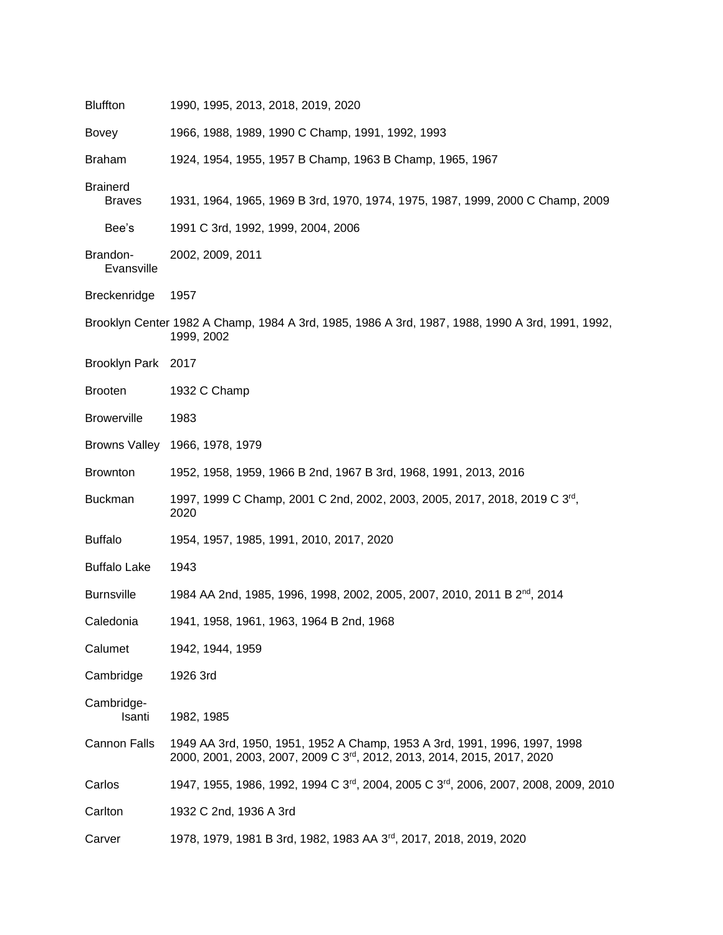| <b>Bluffton</b>                  | 1990, 1995, 2013, 2018, 2019, 2020                                                                                                                  |  |  |  |
|----------------------------------|-----------------------------------------------------------------------------------------------------------------------------------------------------|--|--|--|
| Bovey                            | 1966, 1988, 1989, 1990 C Champ, 1991, 1992, 1993                                                                                                    |  |  |  |
| <b>Braham</b>                    | 1924, 1954, 1955, 1957 B Champ, 1963 B Champ, 1965, 1967                                                                                            |  |  |  |
| <b>Brainerd</b><br><b>Braves</b> | 1931, 1964, 1965, 1969 B 3rd, 1970, 1974, 1975, 1987, 1999, 2000 C Champ, 2009                                                                      |  |  |  |
| Bee's                            | 1991 C 3rd, 1992, 1999, 2004, 2006                                                                                                                  |  |  |  |
| Brandon-<br>Evansville           | 2002, 2009, 2011                                                                                                                                    |  |  |  |
| Breckenridge                     | 1957                                                                                                                                                |  |  |  |
|                                  | Brooklyn Center 1982 A Champ, 1984 A 3rd, 1985, 1986 A 3rd, 1987, 1988, 1990 A 3rd, 1991, 1992,<br>1999, 2002                                       |  |  |  |
| Brooklyn Park 2017               |                                                                                                                                                     |  |  |  |
| <b>Brooten</b>                   | 1932 C Champ                                                                                                                                        |  |  |  |
| <b>Browerville</b>               | 1983                                                                                                                                                |  |  |  |
| <b>Browns Valley</b>             | 1966, 1978, 1979                                                                                                                                    |  |  |  |
| <b>Brownton</b>                  | 1952, 1958, 1959, 1966 B 2nd, 1967 B 3rd, 1968, 1991, 2013, 2016                                                                                    |  |  |  |
| <b>Buckman</b>                   | 1997, 1999 C Champ, 2001 C 2nd, 2002, 2003, 2005, 2017, 2018, 2019 C 3rd,<br>2020                                                                   |  |  |  |
| <b>Buffalo</b>                   | 1954, 1957, 1985, 1991, 2010, 2017, 2020                                                                                                            |  |  |  |
| <b>Buffalo Lake</b>              | 1943                                                                                                                                                |  |  |  |
| <b>Burnsville</b>                | 1984 AA 2nd, 1985, 1996, 1998, 2002, 2005, 2007, 2010, 2011 B 2 <sup>nd</sup> , 2014                                                                |  |  |  |
| Caledonia                        | 1941, 1958, 1961, 1963, 1964 B 2nd, 1968                                                                                                            |  |  |  |
| Calumet                          | 1942, 1944, 1959                                                                                                                                    |  |  |  |
| Cambridge                        | 1926 3rd                                                                                                                                            |  |  |  |
| Cambridge-<br>Isanti             | 1982, 1985                                                                                                                                          |  |  |  |
| Cannon Falls                     | 1949 AA 3rd, 1950, 1951, 1952 A Champ, 1953 A 3rd, 1991, 1996, 1997, 1998<br>2000, 2001, 2003, 2007, 2009 C 3rd, 2012, 2013, 2014, 2015, 2017, 2020 |  |  |  |
| Carlos                           | 1947, 1955, 1986, 1992, 1994 C 3 <sup>rd</sup> , 2004, 2005 C 3 <sup>rd</sup> , 2006, 2007, 2008, 2009, 2010                                        |  |  |  |
| Carlton                          | 1932 C 2nd, 1936 A 3rd                                                                                                                              |  |  |  |
| Carver                           | 1978, 1979, 1981 B 3rd, 1982, 1983 AA 3 <sup>rd</sup> , 2017, 2018, 2019, 2020                                                                      |  |  |  |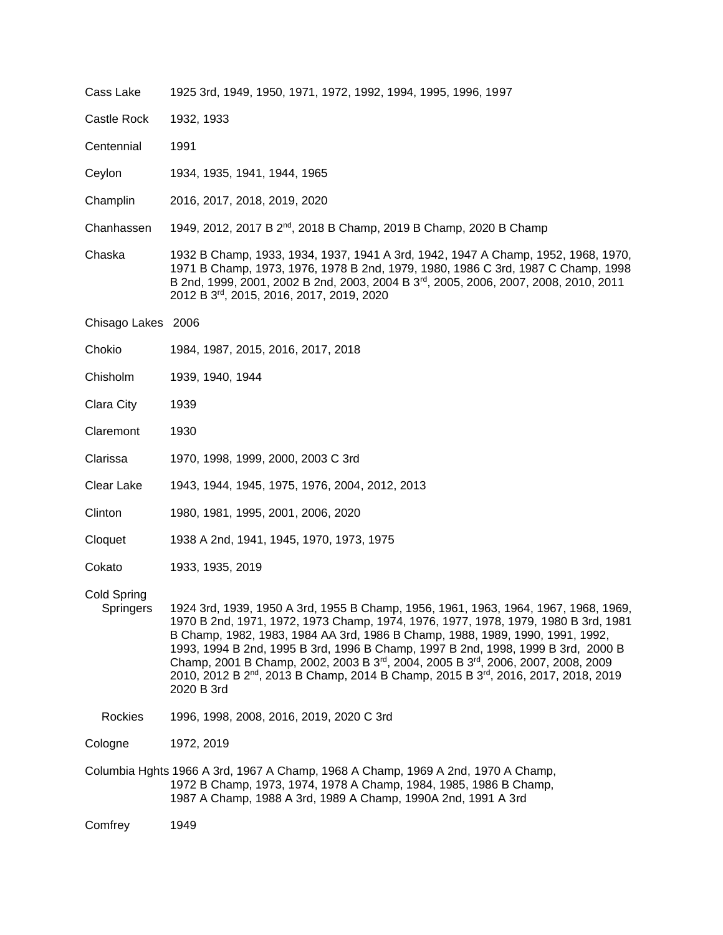| Cass Lake                | 1925 3rd, 1949, 1950, 1971, 1972, 1992, 1994, 1995, 1996, 1997                                                                                                                                                                                                                                                                                                                                                                                                                                                                                                |  |  |
|--------------------------|---------------------------------------------------------------------------------------------------------------------------------------------------------------------------------------------------------------------------------------------------------------------------------------------------------------------------------------------------------------------------------------------------------------------------------------------------------------------------------------------------------------------------------------------------------------|--|--|
| <b>Castle Rock</b>       | 1932, 1933                                                                                                                                                                                                                                                                                                                                                                                                                                                                                                                                                    |  |  |
| Centennial               | 1991                                                                                                                                                                                                                                                                                                                                                                                                                                                                                                                                                          |  |  |
| Ceylon                   | 1934, 1935, 1941, 1944, 1965                                                                                                                                                                                                                                                                                                                                                                                                                                                                                                                                  |  |  |
| Champlin                 | 2016, 2017, 2018, 2019, 2020                                                                                                                                                                                                                                                                                                                                                                                                                                                                                                                                  |  |  |
| Chanhassen               | 1949, 2012, 2017 B 2 <sup>nd</sup> , 2018 B Champ, 2019 B Champ, 2020 B Champ                                                                                                                                                                                                                                                                                                                                                                                                                                                                                 |  |  |
| Chaska                   | 1932 B Champ, 1933, 1934, 1937, 1941 A 3rd, 1942, 1947 A Champ, 1952, 1968, 1970,<br>1971 B Champ, 1973, 1976, 1978 B 2nd, 1979, 1980, 1986 C 3rd, 1987 C Champ, 1998<br>B 2nd, 1999, 2001, 2002 B 2nd, 2003, 2004 B 3 <sup>rd</sup> , 2005, 2006, 2007, 2008, 2010, 2011<br>2012 B 3rd, 2015, 2016, 2017, 2019, 2020                                                                                                                                                                                                                                         |  |  |
| Chisago Lakes 2006       |                                                                                                                                                                                                                                                                                                                                                                                                                                                                                                                                                               |  |  |
| Chokio                   | 1984, 1987, 2015, 2016, 2017, 2018                                                                                                                                                                                                                                                                                                                                                                                                                                                                                                                            |  |  |
| Chisholm                 | 1939, 1940, 1944                                                                                                                                                                                                                                                                                                                                                                                                                                                                                                                                              |  |  |
| Clara City               | 1939                                                                                                                                                                                                                                                                                                                                                                                                                                                                                                                                                          |  |  |
| Claremont                | 1930                                                                                                                                                                                                                                                                                                                                                                                                                                                                                                                                                          |  |  |
| Clarissa                 | 1970, 1998, 1999, 2000, 2003 C 3rd                                                                                                                                                                                                                                                                                                                                                                                                                                                                                                                            |  |  |
| Clear Lake               | 1943, 1944, 1945, 1975, 1976, 2004, 2012, 2013                                                                                                                                                                                                                                                                                                                                                                                                                                                                                                                |  |  |
| Clinton                  | 1980, 1981, 1995, 2001, 2006, 2020                                                                                                                                                                                                                                                                                                                                                                                                                                                                                                                            |  |  |
| Cloquet                  | 1938 A 2nd, 1941, 1945, 1970, 1973, 1975                                                                                                                                                                                                                                                                                                                                                                                                                                                                                                                      |  |  |
| Cokato                   | 1933, 1935, 2019                                                                                                                                                                                                                                                                                                                                                                                                                                                                                                                                              |  |  |
| Cold Spring<br>Springers | 1924 3rd, 1939, 1950 A 3rd, 1955 B Champ, 1956, 1961, 1963, 1964, 1967, 1968, 1969,<br>1970 B 2nd, 1971, 1972, 1973 Champ, 1974, 1976, 1977, 1978, 1979, 1980 B 3rd, 1981<br>B Champ, 1982, 1983, 1984 AA 3rd, 1986 B Champ, 1988, 1989, 1990, 1991, 1992,<br>1993, 1994 B 2nd, 1995 B 3rd, 1996 B Champ, 1997 B 2nd, 1998, 1999 B 3rd, 2000 B<br>Champ, 2001 B Champ, 2002, 2003 B 3rd, 2004, 2005 B 3rd, 2006, 2007, 2008, 2009<br>2010, 2012 B 2 <sup>nd</sup> , 2013 B Champ, 2014 B Champ, 2015 B 3 <sup>rd</sup> , 2016, 2017, 2018, 2019<br>2020 B 3rd |  |  |
| Rockies                  | 1996, 1998, 2008, 2016, 2019, 2020 C 3rd                                                                                                                                                                                                                                                                                                                                                                                                                                                                                                                      |  |  |
| Cologne                  | 1972, 2019                                                                                                                                                                                                                                                                                                                                                                                                                                                                                                                                                    |  |  |
|                          | Columbia Hghts 1966 A 3rd, 1967 A Champ, 1968 A Champ, 1969 A 2nd, 1970 A Champ,<br>1972 B Champ, 1973, 1974, 1978 A Champ, 1984, 1985, 1986 B Champ,<br>1987 A Champ, 1988 A 3rd, 1989 A Champ, 1990A 2nd, 1991 A 3rd                                                                                                                                                                                                                                                                                                                                        |  |  |

Comfrey 1949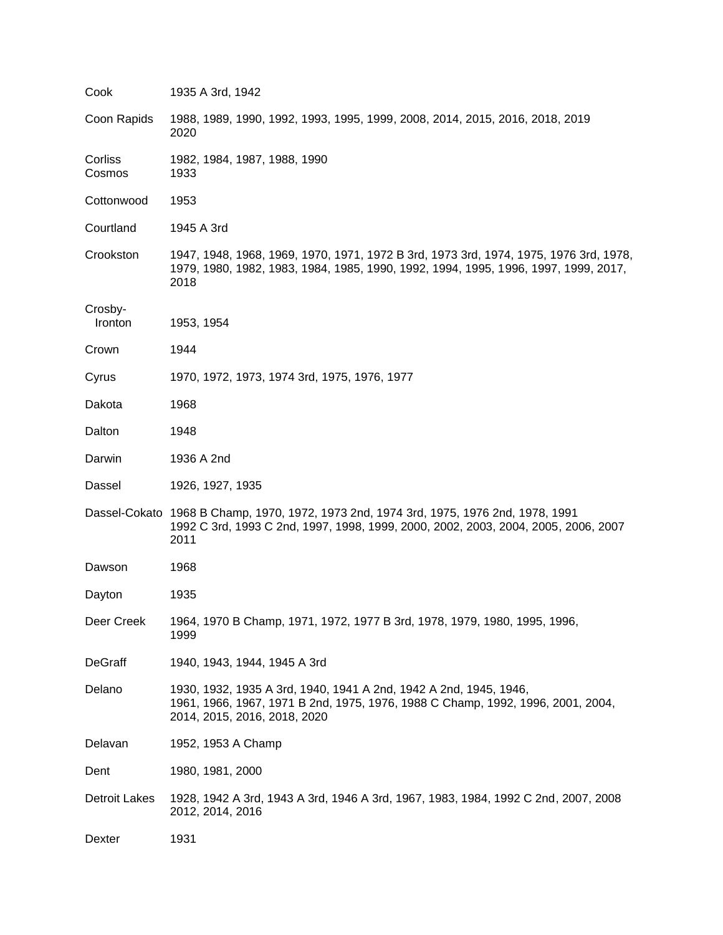| Cook                 | 1935 A 3rd, 1942                                                                                                                                                                     |
|----------------------|--------------------------------------------------------------------------------------------------------------------------------------------------------------------------------------|
| Coon Rapids          | 1988, 1989, 1990, 1992, 1993, 1995, 1999, 2008, 2014, 2015, 2016, 2018, 2019<br>2020                                                                                                 |
| Corliss<br>Cosmos    | 1982, 1984, 1987, 1988, 1990<br>1933                                                                                                                                                 |
| Cottonwood           | 1953                                                                                                                                                                                 |
| Courtland            | 1945 A 3rd                                                                                                                                                                           |
| Crookston            | 1947, 1948, 1968, 1969, 1970, 1971, 1972 B 3rd, 1973 3rd, 1974, 1975, 1976 3rd, 1978,<br>1979, 1980, 1982, 1983, 1984, 1985, 1990, 1992, 1994, 1995, 1996, 1997, 1999, 2017,<br>2018 |
| Crosby-<br>Ironton   | 1953, 1954                                                                                                                                                                           |
| Crown                | 1944                                                                                                                                                                                 |
| Cyrus                | 1970, 1972, 1973, 1974 3rd, 1975, 1976, 1977                                                                                                                                         |
| Dakota               | 1968                                                                                                                                                                                 |
| Dalton               | 1948                                                                                                                                                                                 |
| Darwin               | 1936 A 2nd                                                                                                                                                                           |
| Dassel               | 1926, 1927, 1935                                                                                                                                                                     |
|                      | Dassel-Cokato 1968 B Champ, 1970, 1972, 1973 2nd, 1974 3rd, 1975, 1976 2nd, 1978, 1991<br>1992 C 3rd, 1993 C 2nd, 1997, 1998, 1999, 2000, 2002, 2003, 2004, 2005, 2006, 2007<br>2011 |
| Dawson               | 1968                                                                                                                                                                                 |
| Dayton               | 1935                                                                                                                                                                                 |
| Deer Creek           | 1964, 1970 B Champ, 1971, 1972, 1977 B 3rd, 1978, 1979, 1980, 1995, 1996,<br>1999                                                                                                    |
| DeGraff              | 1940, 1943, 1944, 1945 A 3rd                                                                                                                                                         |
| Delano               | 1930, 1932, 1935 A 3rd, 1940, 1941 A 2nd, 1942 A 2nd, 1945, 1946,<br>1961, 1966, 1967, 1971 B 2nd, 1975, 1976, 1988 C Champ, 1992, 1996, 2001, 2004,<br>2014, 2015, 2016, 2018, 2020 |
| Delavan              | 1952, 1953 A Champ                                                                                                                                                                   |
| Dent                 | 1980, 1981, 2000                                                                                                                                                                     |
| <b>Detroit Lakes</b> | 1928, 1942 A 3rd, 1943 A 3rd, 1946 A 3rd, 1967, 1983, 1984, 1992 C 2nd, 2007, 2008<br>2012, 2014, 2016                                                                               |
| Dexter               | 1931                                                                                                                                                                                 |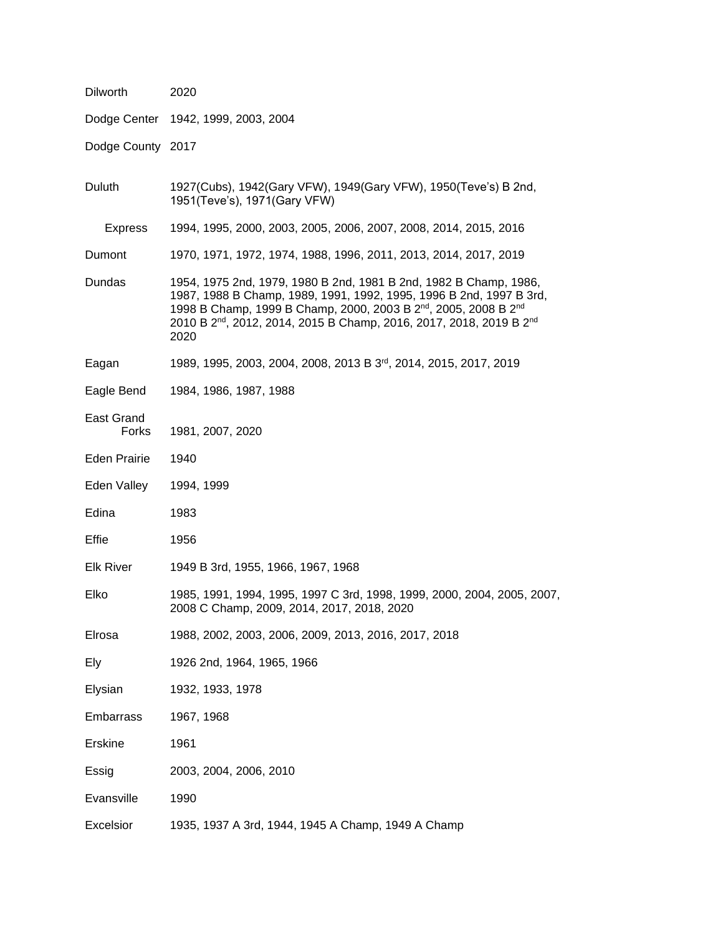| Dilworth            | 2020                                                                                                                                                                                                                                                                                                                                       |  |
|---------------------|--------------------------------------------------------------------------------------------------------------------------------------------------------------------------------------------------------------------------------------------------------------------------------------------------------------------------------------------|--|
|                     | Dodge Center 1942, 1999, 2003, 2004                                                                                                                                                                                                                                                                                                        |  |
| Dodge County 2017   |                                                                                                                                                                                                                                                                                                                                            |  |
| Duluth              | 1927(Cubs), 1942(Gary VFW), 1949(Gary VFW), 1950(Teve's) B 2nd,<br>1951(Teve's), 1971(Gary VFW)                                                                                                                                                                                                                                            |  |
| Express             | 1994, 1995, 2000, 2003, 2005, 2006, 2007, 2008, 2014, 2015, 2016                                                                                                                                                                                                                                                                           |  |
| Dumont              | 1970, 1971, 1972, 1974, 1988, 1996, 2011, 2013, 2014, 2017, 2019                                                                                                                                                                                                                                                                           |  |
| Dundas              | 1954, 1975 2nd, 1979, 1980 B 2nd, 1981 B 2nd, 1982 B Champ, 1986,<br>1987, 1988 B Champ, 1989, 1991, 1992, 1995, 1996 B 2nd, 1997 B 3rd,<br>1998 B Champ, 1999 B Champ, 2000, 2003 B 2 <sup>nd</sup> , 2005, 2008 B 2 <sup>nd</sup><br>2010 B 2 <sup>nd</sup> , 2012, 2014, 2015 B Champ, 2016, 2017, 2018, 2019 B 2 <sup>nd</sup><br>2020 |  |
| Eagan               | 1989, 1995, 2003, 2004, 2008, 2013 B 3 <sup>rd</sup> , 2014, 2015, 2017, 2019                                                                                                                                                                                                                                                              |  |
| Eagle Bend          | 1984, 1986, 1987, 1988                                                                                                                                                                                                                                                                                                                     |  |
| East Grand<br>Forks | 1981, 2007, 2020                                                                                                                                                                                                                                                                                                                           |  |
| Eden Prairie        | 1940                                                                                                                                                                                                                                                                                                                                       |  |
| Eden Valley         | 1994, 1999                                                                                                                                                                                                                                                                                                                                 |  |
| Edina               | 1983                                                                                                                                                                                                                                                                                                                                       |  |
| Effie               | 1956                                                                                                                                                                                                                                                                                                                                       |  |
| <b>Elk River</b>    | 1949 B 3rd, 1955, 1966, 1967, 1968                                                                                                                                                                                                                                                                                                         |  |
| Elko                | 1985, 1991, 1994, 1995, 1997 C 3rd, 1998, 1999, 2000, 2004, 2005, 2007,<br>2008 C Champ, 2009, 2014, 2017, 2018, 2020                                                                                                                                                                                                                      |  |
| Elrosa              | 1988, 2002, 2003, 2006, 2009, 2013, 2016, 2017, 2018                                                                                                                                                                                                                                                                                       |  |
| Ely                 | 1926 2nd, 1964, 1965, 1966                                                                                                                                                                                                                                                                                                                 |  |
| Elysian             | 1932, 1933, 1978                                                                                                                                                                                                                                                                                                                           |  |
| Embarrass           | 1967, 1968                                                                                                                                                                                                                                                                                                                                 |  |
| <b>Erskine</b>      | 1961                                                                                                                                                                                                                                                                                                                                       |  |
| Essig               | 2003, 2004, 2006, 2010                                                                                                                                                                                                                                                                                                                     |  |
| Evansville          | 1990                                                                                                                                                                                                                                                                                                                                       |  |
| Excelsior           | 1935, 1937 A 3rd, 1944, 1945 A Champ, 1949 A Champ                                                                                                                                                                                                                                                                                         |  |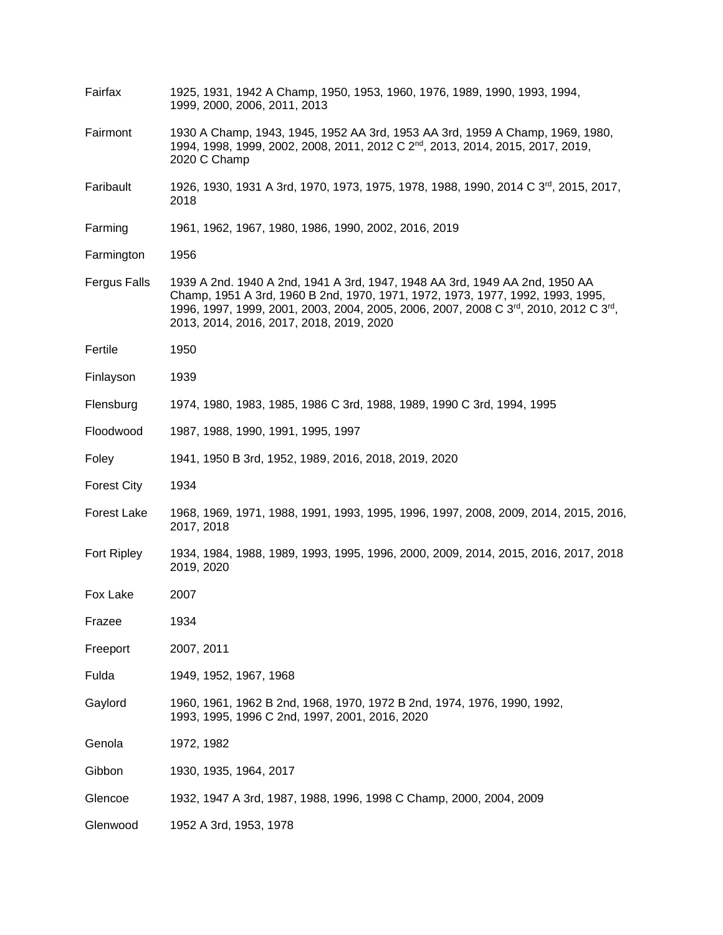| Fairfax            | 1925, 1931, 1942 A Champ, 1950, 1953, 1960, 1976, 1989, 1990, 1993, 1994,<br>1999, 2000, 2006, 2011, 2013                                                                                                                                                                                        |  |  |  |
|--------------------|--------------------------------------------------------------------------------------------------------------------------------------------------------------------------------------------------------------------------------------------------------------------------------------------------|--|--|--|
| Fairmont           | 1930 A Champ, 1943, 1945, 1952 AA 3rd, 1953 AA 3rd, 1959 A Champ, 1969, 1980,<br>1994, 1998, 1999, 2002, 2008, 2011, 2012 C 2 <sup>nd</sup> , 2013, 2014, 2015, 2017, 2019,<br>2020 C Champ                                                                                                      |  |  |  |
| Faribault          | 1926, 1930, 1931 A 3rd, 1970, 1973, 1975, 1978, 1988, 1990, 2014 C 3 <sup>rd</sup> , 2015, 2017,<br>2018                                                                                                                                                                                         |  |  |  |
| Farming            | 1961, 1962, 1967, 1980, 1986, 1990, 2002, 2016, 2019                                                                                                                                                                                                                                             |  |  |  |
| Farmington         | 1956                                                                                                                                                                                                                                                                                             |  |  |  |
| Fergus Falls       | 1939 A 2nd. 1940 A 2nd, 1941 A 3rd, 1947, 1948 AA 3rd, 1949 AA 2nd, 1950 AA<br>Champ, 1951 A 3rd, 1960 B 2nd, 1970, 1971, 1972, 1973, 1977, 1992, 1993, 1995,<br>1996, 1997, 1999, 2001, 2003, 2004, 2005, 2006, 2007, 2008 C 3rd, 2010, 2012 C 3rd,<br>2013, 2014, 2016, 2017, 2018, 2019, 2020 |  |  |  |
| Fertile            | 1950                                                                                                                                                                                                                                                                                             |  |  |  |
| Finlayson          | 1939                                                                                                                                                                                                                                                                                             |  |  |  |
| Flensburg          | 1974, 1980, 1983, 1985, 1986 C 3rd, 1988, 1989, 1990 C 3rd, 1994, 1995                                                                                                                                                                                                                           |  |  |  |
| Floodwood          | 1987, 1988, 1990, 1991, 1995, 1997                                                                                                                                                                                                                                                               |  |  |  |
| Foley              | 1941, 1950 B 3rd, 1952, 1989, 2016, 2018, 2019, 2020                                                                                                                                                                                                                                             |  |  |  |
| <b>Forest City</b> | 1934                                                                                                                                                                                                                                                                                             |  |  |  |
| Forest Lake        | 1968, 1969, 1971, 1988, 1991, 1993, 1995, 1996, 1997, 2008, 2009, 2014, 2015, 2016,<br>2017, 2018                                                                                                                                                                                                |  |  |  |
| Fort Ripley        | 1934, 1984, 1988, 1989, 1993, 1995, 1996, 2000, 2009, 2014, 2015, 2016, 2017, 2018<br>2019, 2020                                                                                                                                                                                                 |  |  |  |
| Fox Lake           | 2007                                                                                                                                                                                                                                                                                             |  |  |  |
| Frazee             | 1934                                                                                                                                                                                                                                                                                             |  |  |  |
| Freeport           | 2007, 2011                                                                                                                                                                                                                                                                                       |  |  |  |
| Fulda              | 1949, 1952, 1967, 1968                                                                                                                                                                                                                                                                           |  |  |  |
| Gaylord            | 1960, 1961, 1962 B 2nd, 1968, 1970, 1972 B 2nd, 1974, 1976, 1990, 1992,<br>1993, 1995, 1996 C 2nd, 1997, 2001, 2016, 2020                                                                                                                                                                        |  |  |  |
| Genola             | 1972, 1982                                                                                                                                                                                                                                                                                       |  |  |  |
| Gibbon             | 1930, 1935, 1964, 2017                                                                                                                                                                                                                                                                           |  |  |  |
| Glencoe            | 1932, 1947 A 3rd, 1987, 1988, 1996, 1998 C Champ, 2000, 2004, 2009                                                                                                                                                                                                                               |  |  |  |
| Glenwood           | 1952 A 3rd, 1953, 1978                                                                                                                                                                                                                                                                           |  |  |  |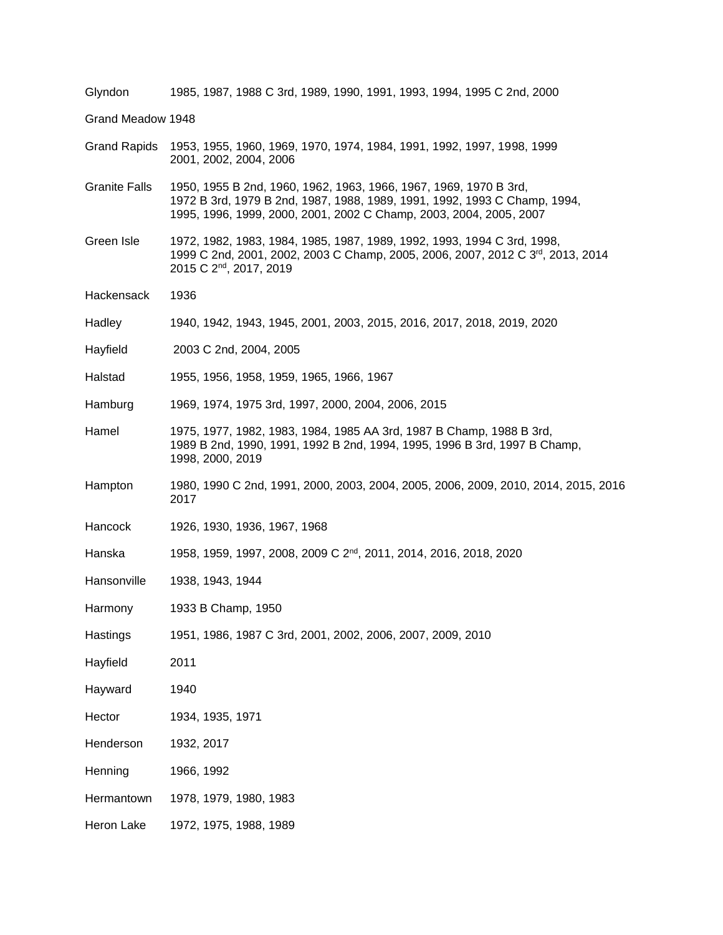| Glyndon              | 1985, 1987, 1988 C 3rd, 1989, 1990, 1991, 1993, 1994, 1995 C 2nd, 2000                                                                                                                                               |  |  |
|----------------------|----------------------------------------------------------------------------------------------------------------------------------------------------------------------------------------------------------------------|--|--|
| Grand Meadow 1948    |                                                                                                                                                                                                                      |  |  |
| <b>Grand Rapids</b>  | 1953, 1955, 1960, 1969, 1970, 1974, 1984, 1991, 1992, 1997, 1998, 1999<br>2001, 2002, 2004, 2006                                                                                                                     |  |  |
| <b>Granite Falls</b> | 1950, 1955 B 2nd, 1960, 1962, 1963, 1966, 1967, 1969, 1970 B 3rd,<br>1972 B 3rd, 1979 B 2nd, 1987, 1988, 1989, 1991, 1992, 1993 C Champ, 1994,<br>1995, 1996, 1999, 2000, 2001, 2002 C Champ, 2003, 2004, 2005, 2007 |  |  |
| Green Isle           | 1972, 1982, 1983, 1984, 1985, 1987, 1989, 1992, 1993, 1994 C 3rd, 1998,<br>1999 C 2nd, 2001, 2002, 2003 C Champ, 2005, 2006, 2007, 2012 C 3 <sup>rd</sup> , 2013, 2014<br>2015 C 2 <sup>nd</sup> , 2017, 2019        |  |  |
| Hackensack           | 1936                                                                                                                                                                                                                 |  |  |
| Hadley               | 1940, 1942, 1943, 1945, 2001, 2003, 2015, 2016, 2017, 2018, 2019, 2020                                                                                                                                               |  |  |
| Hayfield             | 2003 C 2nd, 2004, 2005                                                                                                                                                                                               |  |  |
| Halstad              | 1955, 1956, 1958, 1959, 1965, 1966, 1967                                                                                                                                                                             |  |  |
| Hamburg              | 1969, 1974, 1975 3rd, 1997, 2000, 2004, 2006, 2015                                                                                                                                                                   |  |  |
| Hamel                | 1975, 1977, 1982, 1983, 1984, 1985 AA 3rd, 1987 B Champ, 1988 B 3rd,<br>1989 B 2nd, 1990, 1991, 1992 B 2nd, 1994, 1995, 1996 B 3rd, 1997 B Champ,<br>1998, 2000, 2019                                                |  |  |
| Hampton              | 1980, 1990 C 2nd, 1991, 2000, 2003, 2004, 2005, 2006, 2009, 2010, 2014, 2015, 2016<br>2017                                                                                                                           |  |  |
| Hancock              | 1926, 1930, 1936, 1967, 1968                                                                                                                                                                                         |  |  |
| Hanska               | 1958, 1959, 1997, 2008, 2009 C 2 <sup>nd</sup> , 2011, 2014, 2016, 2018, 2020                                                                                                                                        |  |  |
| Hansonville          | 1938, 1943, 1944                                                                                                                                                                                                     |  |  |
| Harmony              | 1933 B Champ, 1950                                                                                                                                                                                                   |  |  |
| Hastings             | 1951, 1986, 1987 C 3rd, 2001, 2002, 2006, 2007, 2009, 2010                                                                                                                                                           |  |  |
| Hayfield             | 2011                                                                                                                                                                                                                 |  |  |
| Hayward              | 1940                                                                                                                                                                                                                 |  |  |
| Hector               | 1934, 1935, 1971                                                                                                                                                                                                     |  |  |
| Henderson            | 1932, 2017                                                                                                                                                                                                           |  |  |
| Henning              | 1966, 1992                                                                                                                                                                                                           |  |  |
| Hermantown           | 1978, 1979, 1980, 1983                                                                                                                                                                                               |  |  |
| Heron Lake           | 1972, 1975, 1988, 1989                                                                                                                                                                                               |  |  |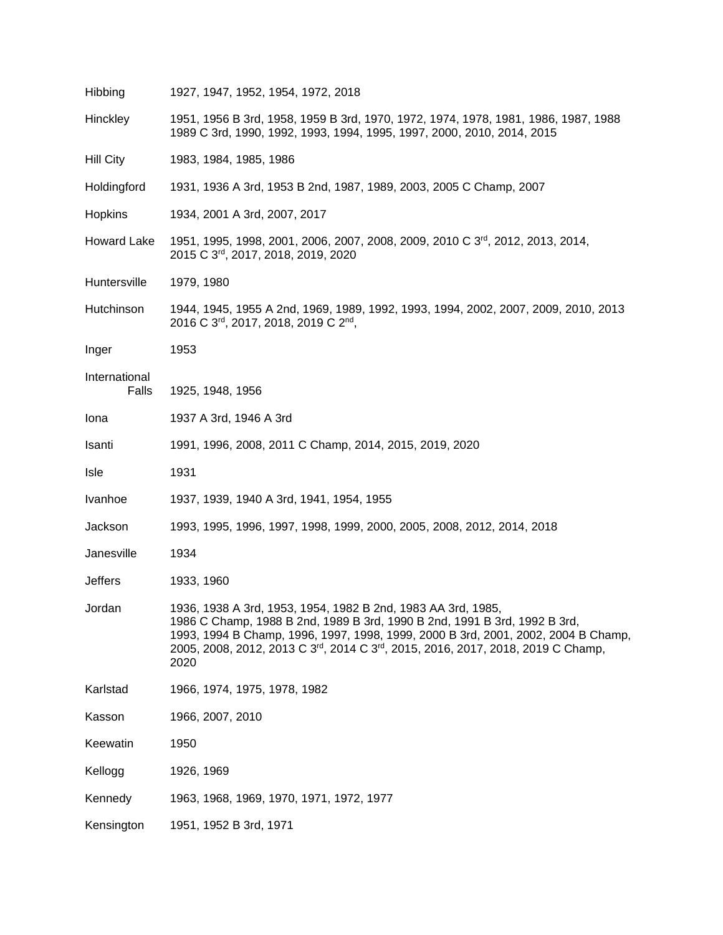| Hibbing                | 1927, 1947, 1952, 1954, 1972, 2018                                                                                                                                                                                                                                                                                        |  |  |  |
|------------------------|---------------------------------------------------------------------------------------------------------------------------------------------------------------------------------------------------------------------------------------------------------------------------------------------------------------------------|--|--|--|
| Hinckley               | 1951, 1956 B 3rd, 1958, 1959 B 3rd, 1970, 1972, 1974, 1978, 1981, 1986, 1987, 1988<br>1989 C 3rd, 1990, 1992, 1993, 1994, 1995, 1997, 2000, 2010, 2014, 2015                                                                                                                                                              |  |  |  |
| <b>Hill City</b>       | 1983, 1984, 1985, 1986                                                                                                                                                                                                                                                                                                    |  |  |  |
| Holdingford            | 1931, 1936 A 3rd, 1953 B 2nd, 1987, 1989, 2003, 2005 C Champ, 2007                                                                                                                                                                                                                                                        |  |  |  |
| Hopkins                | 1934, 2001 A 3rd, 2007, 2017                                                                                                                                                                                                                                                                                              |  |  |  |
| Howard Lake            | 1951, 1995, 1998, 2001, 2006, 2007, 2008, 2009, 2010 C 3 <sup>rd</sup> , 2012, 2013, 2014,<br>2015 C 3rd, 2017, 2018, 2019, 2020                                                                                                                                                                                          |  |  |  |
| Huntersville           | 1979, 1980                                                                                                                                                                                                                                                                                                                |  |  |  |
| Hutchinson             | 1944, 1945, 1955 A 2nd, 1969, 1989, 1992, 1993, 1994, 2002, 2007, 2009, 2010, 2013<br>2016 C 3rd, 2017, 2018, 2019 C 2nd,                                                                                                                                                                                                 |  |  |  |
| Inger                  | 1953                                                                                                                                                                                                                                                                                                                      |  |  |  |
| International<br>Falls | 1925, 1948, 1956                                                                                                                                                                                                                                                                                                          |  |  |  |
| lona                   | 1937 A 3rd, 1946 A 3rd                                                                                                                                                                                                                                                                                                    |  |  |  |
| Isanti                 | 1991, 1996, 2008, 2011 C Champ, 2014, 2015, 2019, 2020                                                                                                                                                                                                                                                                    |  |  |  |
| Isle                   | 1931                                                                                                                                                                                                                                                                                                                      |  |  |  |
| Ivanhoe                | 1937, 1939, 1940 A 3rd, 1941, 1954, 1955                                                                                                                                                                                                                                                                                  |  |  |  |
| Jackson                | 1993, 1995, 1996, 1997, 1998, 1999, 2000, 2005, 2008, 2012, 2014, 2018                                                                                                                                                                                                                                                    |  |  |  |
| Janesville             | 1934                                                                                                                                                                                                                                                                                                                      |  |  |  |
| <b>Jeffers</b>         | 1933, 1960                                                                                                                                                                                                                                                                                                                |  |  |  |
| Jordan                 | 1936, 1938 A 3rd, 1953, 1954, 1982 B 2nd, 1983 AA 3rd, 1985,<br>1986 C Champ, 1988 B 2nd, 1989 B 3rd, 1990 B 2nd, 1991 B 3rd, 1992 B 3rd,<br>1993, 1994 B Champ, 1996, 1997, 1998, 1999, 2000 B 3rd, 2001, 2002, 2004 B Champ,<br>2005, 2008, 2012, 2013 C 3rd, 2014 C 3rd, 2015, 2016, 2017, 2018, 2019 C Champ,<br>2020 |  |  |  |
| Karlstad               | 1966, 1974, 1975, 1978, 1982                                                                                                                                                                                                                                                                                              |  |  |  |
| Kasson                 | 1966, 2007, 2010                                                                                                                                                                                                                                                                                                          |  |  |  |
| Keewatin               | 1950                                                                                                                                                                                                                                                                                                                      |  |  |  |
| Kellogg                | 1926, 1969                                                                                                                                                                                                                                                                                                                |  |  |  |
| Kennedy                | 1963, 1968, 1969, 1970, 1971, 1972, 1977                                                                                                                                                                                                                                                                                  |  |  |  |
| Kensington             | 1951, 1952 B 3rd, 1971                                                                                                                                                                                                                                                                                                    |  |  |  |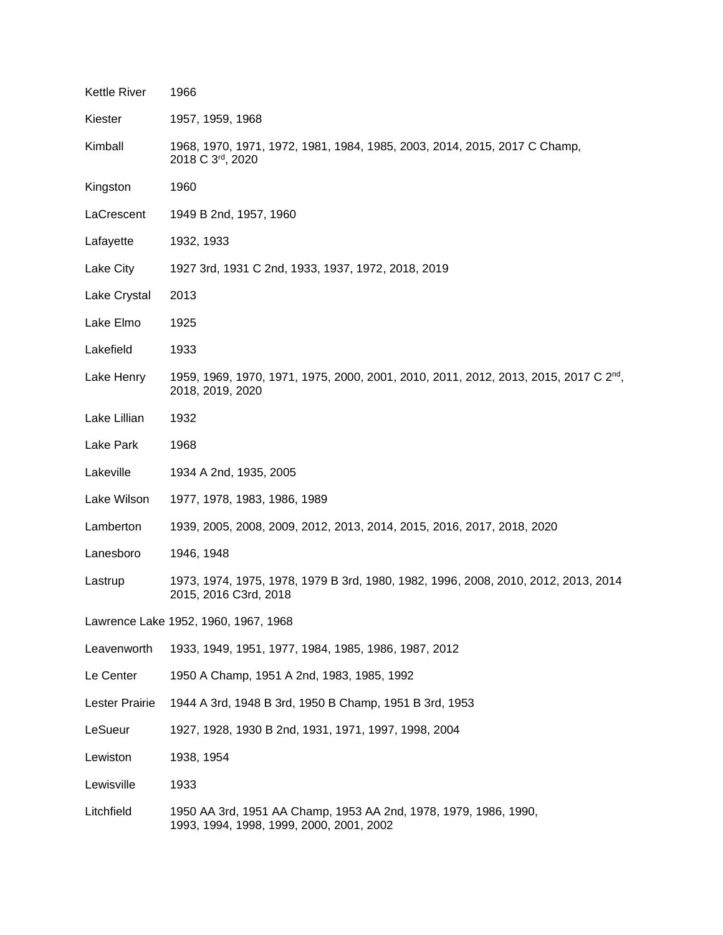| <b>Kettle River</b>                  | 1966                                                                                                                 |  |
|--------------------------------------|----------------------------------------------------------------------------------------------------------------------|--|
| Kiester                              | 1957, 1959, 1968                                                                                                     |  |
| Kimball                              | 1968, 1970, 1971, 1972, 1981, 1984, 1985, 2003, 2014, 2015, 2017 C Champ,<br>2018 C 3rd, 2020                        |  |
| Kingston                             | 1960                                                                                                                 |  |
| LaCrescent                           | 1949 B 2nd, 1957, 1960                                                                                               |  |
| Lafayette                            | 1932, 1933                                                                                                           |  |
| Lake City                            | 1927 3rd, 1931 C 2nd, 1933, 1937, 1972, 2018, 2019                                                                   |  |
| Lake Crystal                         | 2013                                                                                                                 |  |
| Lake Elmo                            | 1925                                                                                                                 |  |
| Lakefield                            | 1933                                                                                                                 |  |
| Lake Henry                           | 1959, 1969, 1970, 1971, 1975, 2000, 2001, 2010, 2011, 2012, 2013, 2015, 2017 C 2 <sup>nd</sup> ,<br>2018, 2019, 2020 |  |
| Lake Lillian                         | 1932                                                                                                                 |  |
| Lake Park                            | 1968                                                                                                                 |  |
| Lakeville                            | 1934 A 2nd, 1935, 2005                                                                                               |  |
| Lake Wilson                          | 1977, 1978, 1983, 1986, 1989                                                                                         |  |
| Lamberton                            | 1939, 2005, 2008, 2009, 2012, 2013, 2014, 2015, 2016, 2017, 2018, 2020                                               |  |
| Lanesboro                            | 1946, 1948                                                                                                           |  |
| Lastrup                              | 1973, 1974, 1975, 1978, 1979 B 3rd, 1980, 1982, 1996, 2008, 2010, 2012, 2013, 2014<br>2015, 2016 C3rd, 2018          |  |
| Lawrence Lake 1952, 1960, 1967, 1968 |                                                                                                                      |  |
| Leavenworth                          | 1933, 1949, 1951, 1977, 1984, 1985, 1986, 1987, 2012                                                                 |  |
| Le Center                            | 1950 A Champ, 1951 A 2nd, 1983, 1985, 1992                                                                           |  |
| Lester Prairie                       | 1944 A 3rd, 1948 B 3rd, 1950 B Champ, 1951 B 3rd, 1953                                                               |  |
| LeSueur                              | 1927, 1928, 1930 B 2nd, 1931, 1971, 1997, 1998, 2004                                                                 |  |
| Lewiston                             | 1938, 1954                                                                                                           |  |
| Lewisville                           | 1933                                                                                                                 |  |
| Litchfield                           | 1950 AA 3rd, 1951 AA Champ, 1953 AA 2nd, 1978, 1979, 1986, 1990,<br>1993, 1994, 1998, 1999, 2000, 2001, 2002         |  |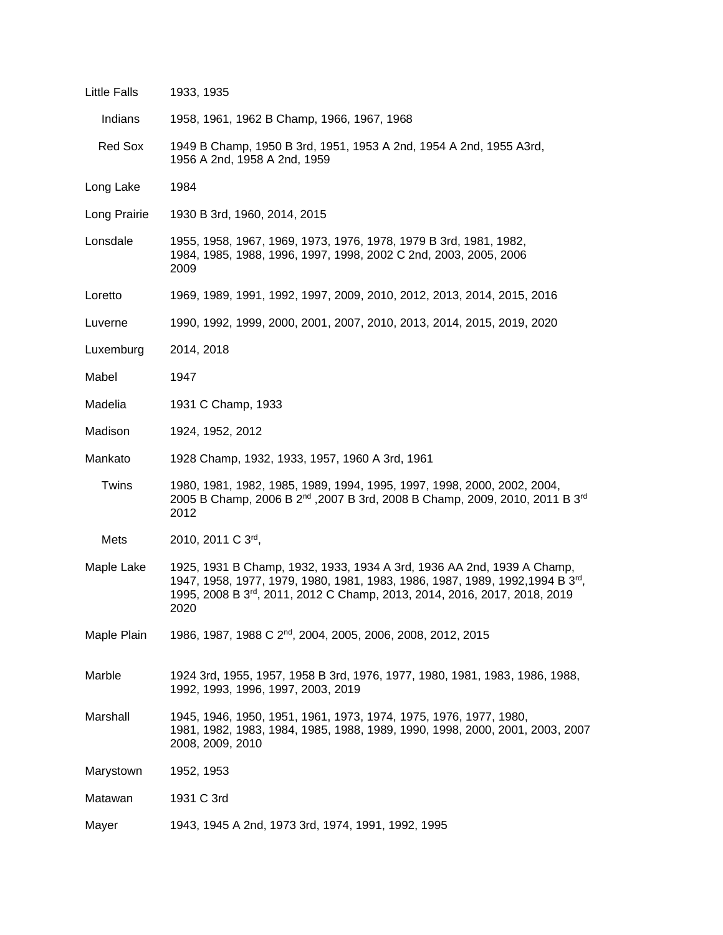| Little Falls | 1933, 1935                                                                                                                                                                                                                                              |  |
|--------------|---------------------------------------------------------------------------------------------------------------------------------------------------------------------------------------------------------------------------------------------------------|--|
| Indians      | 1958, 1961, 1962 B Champ, 1966, 1967, 1968                                                                                                                                                                                                              |  |
| Red Sox      | 1949 B Champ, 1950 B 3rd, 1951, 1953 A 2nd, 1954 A 2nd, 1955 A3rd,<br>1956 A 2nd, 1958 A 2nd, 1959                                                                                                                                                      |  |
| Long Lake    | 1984                                                                                                                                                                                                                                                    |  |
| Long Prairie | 1930 B 3rd, 1960, 2014, 2015                                                                                                                                                                                                                            |  |
| Lonsdale     | 1955, 1958, 1967, 1969, 1973, 1976, 1978, 1979 B 3rd, 1981, 1982,<br>1984, 1985, 1988, 1996, 1997, 1998, 2002 C 2nd, 2003, 2005, 2006<br>2009                                                                                                           |  |
| Loretto      | 1969, 1989, 1991, 1992, 1997, 2009, 2010, 2012, 2013, 2014, 2015, 2016                                                                                                                                                                                  |  |
| Luverne      | 1990, 1992, 1999, 2000, 2001, 2007, 2010, 2013, 2014, 2015, 2019, 2020                                                                                                                                                                                  |  |
| Luxemburg    | 2014, 2018                                                                                                                                                                                                                                              |  |
| Mabel        | 1947                                                                                                                                                                                                                                                    |  |
| Madelia      | 1931 C Champ, 1933                                                                                                                                                                                                                                      |  |
| Madison      | 1924, 1952, 2012                                                                                                                                                                                                                                        |  |
| Mankato      | 1928 Champ, 1932, 1933, 1957, 1960 A 3rd, 1961                                                                                                                                                                                                          |  |
| Twins        | 1980, 1981, 1982, 1985, 1989, 1994, 1995, 1997, 1998, 2000, 2002, 2004,<br>2005 B Champ, 2006 B 2 <sup>nd</sup> , 2007 B 3rd, 2008 B Champ, 2009, 2010, 2011 B 3 <sup>rd</sup><br>2012                                                                  |  |
| Mets         | 2010, 2011 C 3rd,                                                                                                                                                                                                                                       |  |
| Maple Lake   | 1925, 1931 B Champ, 1932, 1933, 1934 A 3rd, 1936 AA 2nd, 1939 A Champ,<br>1947, 1958, 1977, 1979, 1980, 1981, 1983, 1986, 1987, 1989, 1992,1994 B 3 <sup>rd</sup> ,<br>1995, 2008 B 3rd, 2011, 2012 C Champ, 2013, 2014, 2016, 2017, 2018, 2019<br>2020 |  |
| Maple Plain  | 1986, 1987, 1988 C 2 <sup>nd</sup> , 2004, 2005, 2006, 2008, 2012, 2015                                                                                                                                                                                 |  |
| Marble       | 1924 3rd, 1955, 1957, 1958 B 3rd, 1976, 1977, 1980, 1981, 1983, 1986, 1988,<br>1992, 1993, 1996, 1997, 2003, 2019                                                                                                                                       |  |
| Marshall     | 1945, 1946, 1950, 1951, 1961, 1973, 1974, 1975, 1976, 1977, 1980,<br>1981, 1982, 1983, 1984, 1985, 1988, 1989, 1990, 1998, 2000, 2001, 2003, 2007<br>2008, 2009, 2010                                                                                   |  |
| Marystown    | 1952, 1953                                                                                                                                                                                                                                              |  |
| Matawan      | 1931 C 3rd                                                                                                                                                                                                                                              |  |
| Mayer        | 1943, 1945 A 2nd, 1973 3rd, 1974, 1991, 1992, 1995                                                                                                                                                                                                      |  |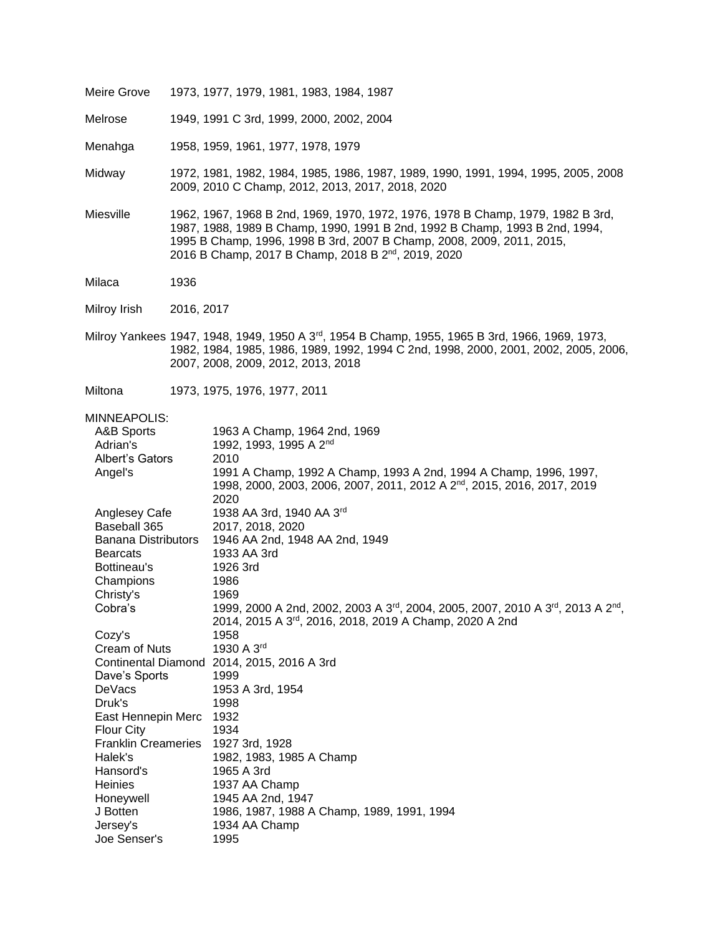| Meire Grove                                                                                                                                                                                                                                                                                                                                                                                                                                                                             | 1973, 1977, 1979, 1981, 1983, 1984, 1987                                                                                                                                                                                                                                                                                                                                                                                                                                                                                                                                                                                                                                                                                                                                                            |
|-----------------------------------------------------------------------------------------------------------------------------------------------------------------------------------------------------------------------------------------------------------------------------------------------------------------------------------------------------------------------------------------------------------------------------------------------------------------------------------------|-----------------------------------------------------------------------------------------------------------------------------------------------------------------------------------------------------------------------------------------------------------------------------------------------------------------------------------------------------------------------------------------------------------------------------------------------------------------------------------------------------------------------------------------------------------------------------------------------------------------------------------------------------------------------------------------------------------------------------------------------------------------------------------------------------|
| Melrose                                                                                                                                                                                                                                                                                                                                                                                                                                                                                 | 1949, 1991 C 3rd, 1999, 2000, 2002, 2004                                                                                                                                                                                                                                                                                                                                                                                                                                                                                                                                                                                                                                                                                                                                                            |
| Menahga                                                                                                                                                                                                                                                                                                                                                                                                                                                                                 | 1958, 1959, 1961, 1977, 1978, 1979                                                                                                                                                                                                                                                                                                                                                                                                                                                                                                                                                                                                                                                                                                                                                                  |
| Midway                                                                                                                                                                                                                                                                                                                                                                                                                                                                                  | 1972, 1981, 1982, 1984, 1985, 1986, 1987, 1989, 1990, 1991, 1994, 1995, 2005, 2008<br>2009, 2010 C Champ, 2012, 2013, 2017, 2018, 2020                                                                                                                                                                                                                                                                                                                                                                                                                                                                                                                                                                                                                                                              |
| Miesville                                                                                                                                                                                                                                                                                                                                                                                                                                                                               | 1962, 1967, 1968 B 2nd, 1969, 1970, 1972, 1976, 1978 B Champ, 1979, 1982 B 3rd,<br>1987, 1988, 1989 B Champ, 1990, 1991 B 2nd, 1992 B Champ, 1993 B 2nd, 1994,<br>1995 B Champ, 1996, 1998 B 3rd, 2007 B Champ, 2008, 2009, 2011, 2015,<br>2016 B Champ, 2017 B Champ, 2018 B 2 <sup>nd</sup> , 2019, 2020                                                                                                                                                                                                                                                                                                                                                                                                                                                                                          |
| Milaca                                                                                                                                                                                                                                                                                                                                                                                                                                                                                  | 1936                                                                                                                                                                                                                                                                                                                                                                                                                                                                                                                                                                                                                                                                                                                                                                                                |
| Milroy Irish                                                                                                                                                                                                                                                                                                                                                                                                                                                                            | 2016, 2017                                                                                                                                                                                                                                                                                                                                                                                                                                                                                                                                                                                                                                                                                                                                                                                          |
|                                                                                                                                                                                                                                                                                                                                                                                                                                                                                         | Milroy Yankees 1947, 1948, 1949, 1950 A 3 <sup>rd</sup> , 1954 B Champ, 1955, 1965 B 3rd, 1966, 1969, 1973,<br>1982, 1984, 1985, 1986, 1989, 1992, 1994 C 2nd, 1998, 2000, 2001, 2002, 2005, 2006,<br>2007, 2008, 2009, 2012, 2013, 2018                                                                                                                                                                                                                                                                                                                                                                                                                                                                                                                                                            |
| Miltona                                                                                                                                                                                                                                                                                                                                                                                                                                                                                 | 1973, 1975, 1976, 1977, 2011                                                                                                                                                                                                                                                                                                                                                                                                                                                                                                                                                                                                                                                                                                                                                                        |
| MINNEAPOLIS:<br>A&B Sports<br>Adrian's<br>Albert's Gators<br>Angel's<br>Anglesey Cafe<br>Baseball 365<br><b>Banana Distributors</b><br><b>Bearcats</b><br>Bottineau's<br>Champions<br>Christy's<br>Cobra's<br>Cozy's<br><b>Cream of Nuts</b><br><b>Continental Diamond</b><br>Dave's Sports<br><b>DeVacs</b><br>Druk's<br>East Hennepin Merc<br>Flour City<br><b>Franklin Creameries</b><br>Halek's<br>Hansord's<br><b>Heinies</b><br>Honeywell<br>J Botten<br>Jersey's<br>Joe Senser's | 1963 A Champ, 1964 2nd, 1969<br>1992, 1993, 1995 A 2 <sup>nd</sup><br>2010<br>1991 A Champ, 1992 A Champ, 1993 A 2nd, 1994 A Champ, 1996, 1997,<br>1998, 2000, 2003, 2006, 2007, 2011, 2012 A 2 <sup>nd</sup> , 2015, 2016, 2017, 2019<br>2020<br>1938 AA 3rd, 1940 AA 3rd<br>2017, 2018, 2020<br>1946 AA 2nd, 1948 AA 2nd, 1949<br>1933 AA 3rd<br>1926 3rd<br>1986<br>1969<br>1999, 2000 A 2nd, 2002, 2003 A 3rd, 2004, 2005, 2007, 2010 A 3rd, 2013 A 2nd,<br>2014, 2015 A 3rd, 2016, 2018, 2019 A Champ, 2020 A 2nd<br>1958<br>1930 A 3rd<br>2014, 2015, 2016 A 3rd<br>1999<br>1953 A 3rd, 1954<br>1998<br>1932<br>1934<br>1927 3rd, 1928<br>1982, 1983, 1985 A Champ<br>1965 A 3rd<br>1937 AA Champ<br>1945 AA 2nd, 1947<br>1986, 1987, 1988 A Champ, 1989, 1991, 1994<br>1934 AA Champ<br>1995 |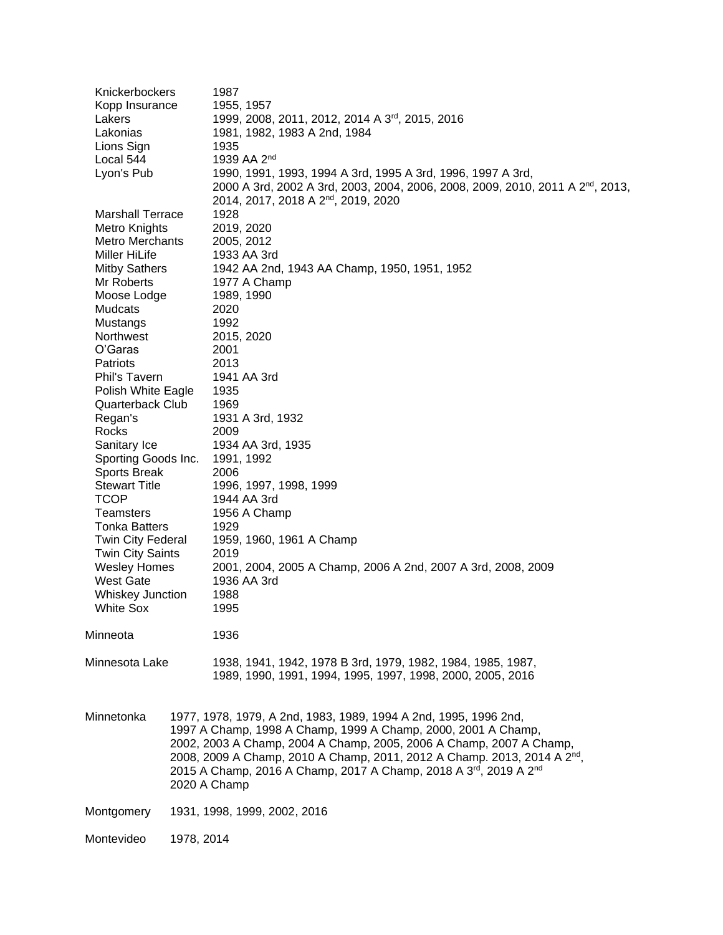| Knickerbockers                      |              | 1987                                                                                                                                                     |
|-------------------------------------|--------------|----------------------------------------------------------------------------------------------------------------------------------------------------------|
| Kopp Insurance                      |              | 1955, 1957                                                                                                                                               |
| Lakers                              |              | 1999, 2008, 2011, 2012, 2014 A 3rd, 2015, 2016                                                                                                           |
| Lakonias                            |              | 1981, 1982, 1983 A 2nd, 1984                                                                                                                             |
| Lions Sign                          |              | 1935                                                                                                                                                     |
| Local 544                           |              | 1939 AA 2 <sup>nd</sup>                                                                                                                                  |
| Lyon's Pub                          |              | 1990, 1991, 1993, 1994 A 3rd, 1995 A 3rd, 1996, 1997 A 3rd,                                                                                              |
|                                     |              | 2000 A 3rd, 2002 A 3rd, 2003, 2004, 2006, 2008, 2009, 2010, 2011 A 2 <sup>nd</sup> , 2013,                                                               |
|                                     |              | 2014, 2017, 2018 A 2 <sup>nd</sup> , 2019, 2020                                                                                                          |
| <b>Marshall Terrace</b>             |              | 1928                                                                                                                                                     |
| Metro Knights                       |              | 2019, 2020                                                                                                                                               |
| <b>Metro Merchants</b>              |              | 2005, 2012                                                                                                                                               |
| Miller HiLife                       |              | 1933 AA 3rd                                                                                                                                              |
| <b>Mitby Sathers</b>                |              | 1942 AA 2nd, 1943 AA Champ, 1950, 1951, 1952                                                                                                             |
| Mr Roberts                          |              | 1977 A Champ                                                                                                                                             |
| Moose Lodge                         |              | 1989, 1990                                                                                                                                               |
| Mudcats                             |              | 2020                                                                                                                                                     |
| Mustangs                            |              | 1992                                                                                                                                                     |
| Northwest                           |              | 2015, 2020                                                                                                                                               |
| O'Garas                             |              | 2001                                                                                                                                                     |
| Patriots                            |              | 2013                                                                                                                                                     |
| Phil's Tavern                       |              | 1941 AA 3rd                                                                                                                                              |
| Polish White Eagle                  |              | 1935                                                                                                                                                     |
| Quarterback Club                    |              | 1969                                                                                                                                                     |
| Regan's                             |              | 1931 A 3rd, 1932                                                                                                                                         |
| Rocks                               |              | 2009                                                                                                                                                     |
| Sanitary Ice<br>Sporting Goods Inc. |              | 1934 AA 3rd, 1935<br>1991, 1992                                                                                                                          |
| Sports Break                        |              | 2006                                                                                                                                                     |
| <b>Stewart Title</b>                |              | 1996, 1997, 1998, 1999                                                                                                                                   |
| <b>TCOP</b>                         |              | 1944 AA 3rd                                                                                                                                              |
| <b>Teamsters</b>                    |              | 1956 A Champ                                                                                                                                             |
| <b>Tonka Batters</b>                |              | 1929                                                                                                                                                     |
| <b>Twin City Federal</b>            |              | 1959, 1960, 1961 A Champ                                                                                                                                 |
| <b>Twin City Saints</b>             |              | 2019                                                                                                                                                     |
| <b>Wesley Homes</b>                 |              | 2001, 2004, 2005 A Champ, 2006 A 2nd, 2007 A 3rd, 2008, 2009                                                                                             |
| <b>West Gate</b>                    |              | 1936 AA 3rd                                                                                                                                              |
| Whiskey Junction                    |              | 1988                                                                                                                                                     |
| <b>White Sox</b>                    |              | 1995                                                                                                                                                     |
|                                     |              |                                                                                                                                                          |
| Minneota                            |              | 1936                                                                                                                                                     |
|                                     |              |                                                                                                                                                          |
| Minnesota Lake                      |              | 1938, 1941, 1942, 1978 B 3rd, 1979, 1982, 1984, 1985, 1987,                                                                                              |
|                                     |              | 1989, 1990, 1991, 1994, 1995, 1997, 1998, 2000, 2005, 2016                                                                                               |
|                                     |              |                                                                                                                                                          |
|                                     |              |                                                                                                                                                          |
| Minnetonka                          |              | 1977, 1978, 1979, A 2nd, 1983, 1989, 1994 A 2nd, 1995, 1996 2nd,                                                                                         |
|                                     |              | 1997 A Champ, 1998 A Champ, 1999 A Champ, 2000, 2001 A Champ,                                                                                            |
|                                     |              | 2002, 2003 A Champ, 2004 A Champ, 2005, 2006 A Champ, 2007 A Champ,                                                                                      |
|                                     |              | 2008, 2009 A Champ, 2010 A Champ, 2011, 2012 A Champ. 2013, 2014 A 2 <sup>nd</sup> ,<br>2015 A Champ, 2016 A Champ, 2017 A Champ, 2018 A 3rd, 2019 A 2nd |
|                                     | 2020 A Champ |                                                                                                                                                          |
|                                     |              |                                                                                                                                                          |
| Montgomery                          |              | 1931, 1998, 1999, 2002, 2016                                                                                                                             |
|                                     |              |                                                                                                                                                          |
| Montevideo                          | 1978, 2014   |                                                                                                                                                          |
|                                     |              |                                                                                                                                                          |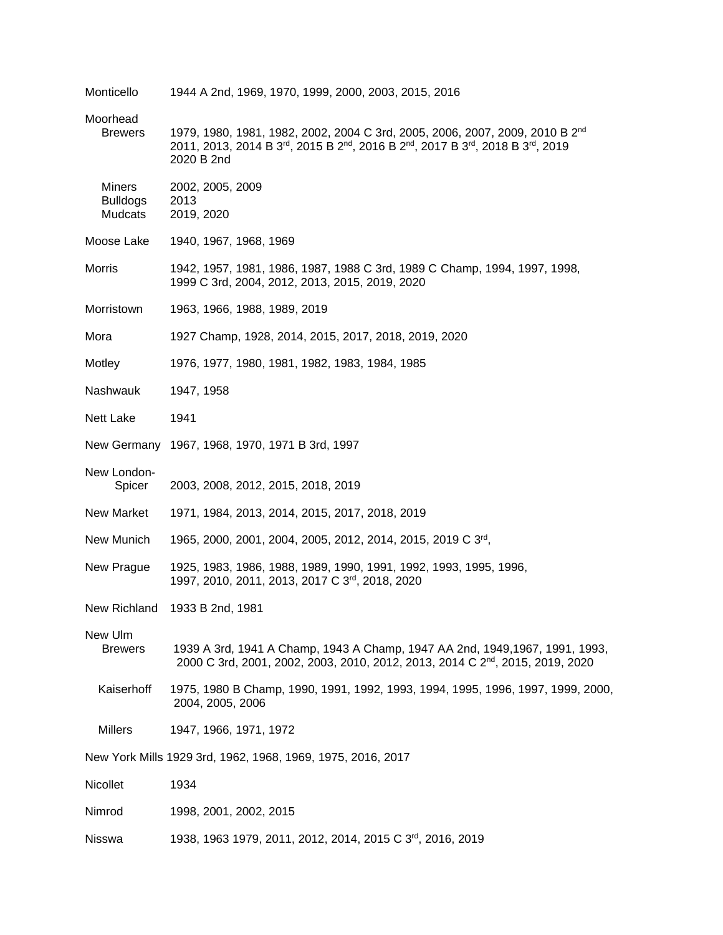| Monticello                                  | 1944 A 2nd, 1969, 1970, 1999, 2000, 2003, 2015, 2016                                                                                                                                   |
|---------------------------------------------|----------------------------------------------------------------------------------------------------------------------------------------------------------------------------------------|
| Moorhead<br><b>Brewers</b>                  | 1979, 1980, 1981, 1982, 2002, 2004 C 3rd, 2005, 2006, 2007, 2009, 2010 B 2 <sup>nd</sup><br>2011, 2013, 2014 B 3rd, 2015 B 2nd, 2016 B 2nd, 2017 B 3rd, 2018 B 3rd, 2019<br>2020 B 2nd |
| <b>Miners</b><br><b>Bulldogs</b><br>Mudcats | 2002, 2005, 2009<br>2013<br>2019, 2020                                                                                                                                                 |
| Moose Lake                                  | 1940, 1967, 1968, 1969                                                                                                                                                                 |
| Morris                                      | 1942, 1957, 1981, 1986, 1987, 1988 C 3rd, 1989 C Champ, 1994, 1997, 1998,<br>1999 C 3rd, 2004, 2012, 2013, 2015, 2019, 2020                                                            |
| Morristown                                  | 1963, 1966, 1988, 1989, 2019                                                                                                                                                           |
| Mora                                        | 1927 Champ, 1928, 2014, 2015, 2017, 2018, 2019, 2020                                                                                                                                   |
| Motley                                      | 1976, 1977, 1980, 1981, 1982, 1983, 1984, 1985                                                                                                                                         |
| Nashwauk                                    | 1947, 1958                                                                                                                                                                             |
| Nett Lake                                   | 1941                                                                                                                                                                                   |
|                                             | New Germany 1967, 1968, 1970, 1971 B 3rd, 1997                                                                                                                                         |
| New London-<br>Spicer                       | 2003, 2008, 2012, 2015, 2018, 2019                                                                                                                                                     |
| New Market                                  | 1971, 1984, 2013, 2014, 2015, 2017, 2018, 2019                                                                                                                                         |
| New Munich                                  | 1965, 2000, 2001, 2004, 2005, 2012, 2014, 2015, 2019 C 3rd,                                                                                                                            |
| New Prague                                  | 1925, 1983, 1986, 1988, 1989, 1990, 1991, 1992, 1993, 1995, 1996,<br>1997, 2010, 2011, 2013, 2017 C 3rd, 2018, 2020                                                                    |
| New Richland                                | 1933 B 2nd, 1981                                                                                                                                                                       |
| New Ulm<br><b>Brewers</b>                   | 1939 A 3rd, 1941 A Champ, 1943 A Champ, 1947 AA 2nd, 1949, 1967, 1991, 1993,<br>2000 C 3rd, 2001, 2002, 2003, 2010, 2012, 2013, 2014 C 2 <sup>nd</sup> , 2015, 2019, 2020              |
| Kaiserhoff                                  | 1975, 1980 B Champ, 1990, 1991, 1992, 1993, 1994, 1995, 1996, 1997, 1999, 2000,<br>2004, 2005, 2006                                                                                    |
| Millers                                     | 1947, 1966, 1971, 1972                                                                                                                                                                 |
|                                             | New York Mills 1929 3rd, 1962, 1968, 1969, 1975, 2016, 2017                                                                                                                            |
| Nicollet                                    | 1934                                                                                                                                                                                   |
| Nimrod                                      | 1998, 2001, 2002, 2015                                                                                                                                                                 |
| Nisswa                                      | 1938, 1963 1979, 2011, 2012, 2014, 2015 C 3 <sup>rd</sup> , 2016, 2019                                                                                                                 |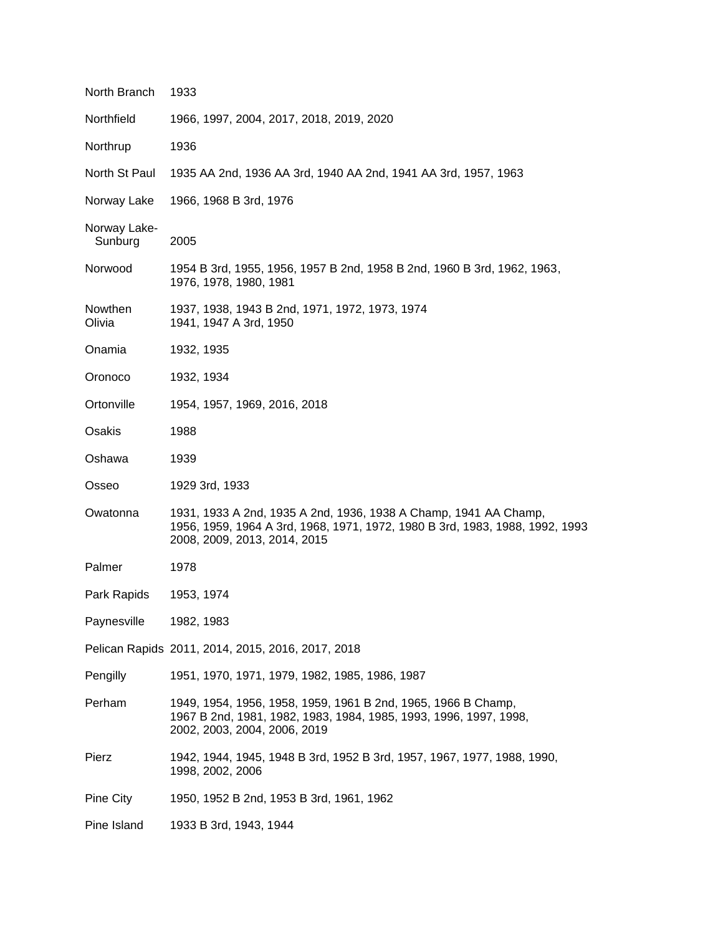| North Branch            | 1933                                                                                                                                                                             |
|-------------------------|----------------------------------------------------------------------------------------------------------------------------------------------------------------------------------|
| Northfield              | 1966, 1997, 2004, 2017, 2018, 2019, 2020                                                                                                                                         |
| Northrup                | 1936                                                                                                                                                                             |
| North St Paul           | 1935 AA 2nd, 1936 AA 3rd, 1940 AA 2nd, 1941 AA 3rd, 1957, 1963                                                                                                                   |
| Norway Lake             | 1966, 1968 B 3rd, 1976                                                                                                                                                           |
| Norway Lake-<br>Sunburg | 2005                                                                                                                                                                             |
| Norwood                 | 1954 B 3rd, 1955, 1956, 1957 B 2nd, 1958 B 2nd, 1960 B 3rd, 1962, 1963,<br>1976, 1978, 1980, 1981                                                                                |
| Nowthen<br>Olivia       | 1937, 1938, 1943 B 2nd, 1971, 1972, 1973, 1974<br>1941, 1947 A 3rd, 1950                                                                                                         |
| Onamia                  | 1932, 1935                                                                                                                                                                       |
| Oronoco                 | 1932, 1934                                                                                                                                                                       |
| Ortonville              | 1954, 1957, 1969, 2016, 2018                                                                                                                                                     |
| Osakis                  | 1988                                                                                                                                                                             |
| Oshawa                  | 1939                                                                                                                                                                             |
| Osseo                   | 1929 3rd, 1933                                                                                                                                                                   |
| Owatonna                | 1931, 1933 A 2nd, 1935 A 2nd, 1936, 1938 A Champ, 1941 AA Champ,<br>1956, 1959, 1964 A 3rd, 1968, 1971, 1972, 1980 B 3rd, 1983, 1988, 1992, 1993<br>2008, 2009, 2013, 2014, 2015 |
| Palmer                  | 1978                                                                                                                                                                             |
| Park Rapids             | 1953, 1974                                                                                                                                                                       |
| Paynesville             | 1982, 1983                                                                                                                                                                       |
|                         | Pelican Rapids 2011, 2014, 2015, 2016, 2017, 2018                                                                                                                                |
| Pengilly                | 1951, 1970, 1971, 1979, 1982, 1985, 1986, 1987                                                                                                                                   |
| Perham                  | 1949, 1954, 1956, 1958, 1959, 1961 B 2nd, 1965, 1966 B Champ,<br>1967 B 2nd, 1981, 1982, 1983, 1984, 1985, 1993, 1996, 1997, 1998,<br>2002, 2003, 2004, 2006, 2019               |
| Pierz                   | 1942, 1944, 1945, 1948 B 3rd, 1952 B 3rd, 1957, 1967, 1977, 1988, 1990,<br>1998, 2002, 2006                                                                                      |
| Pine City               | 1950, 1952 B 2nd, 1953 B 3rd, 1961, 1962                                                                                                                                         |
| Pine Island             | 1933 B 3rd, 1943, 1944                                                                                                                                                           |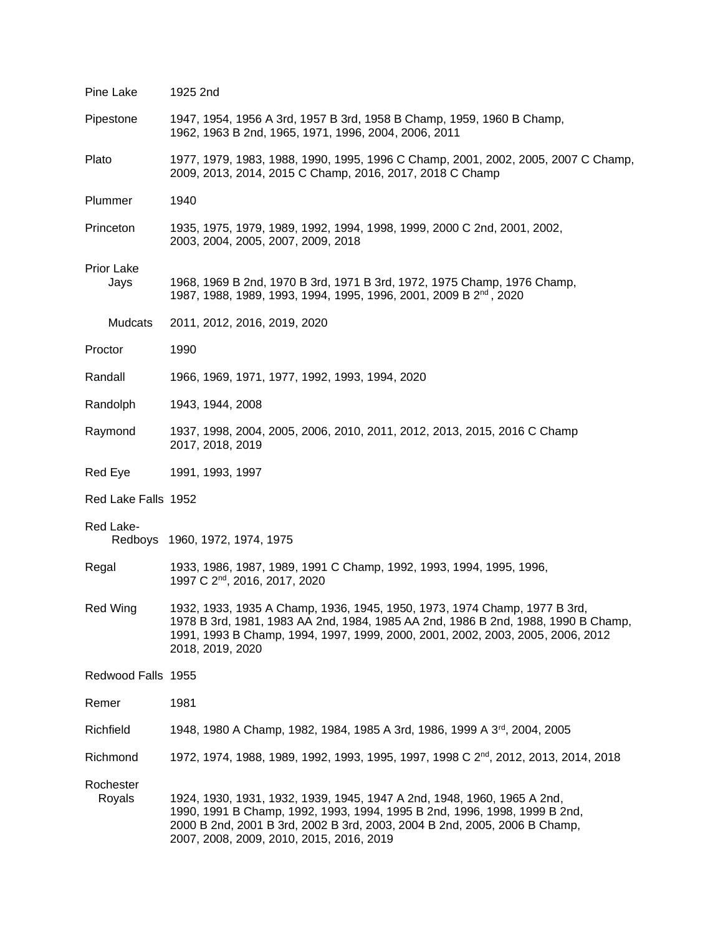| Pine Lake           | 1925 2nd                                                                                                                                                                                                                                                                      |
|---------------------|-------------------------------------------------------------------------------------------------------------------------------------------------------------------------------------------------------------------------------------------------------------------------------|
| Pipestone           | 1947, 1954, 1956 A 3rd, 1957 B 3rd, 1958 B Champ, 1959, 1960 B Champ,<br>1962, 1963 B 2nd, 1965, 1971, 1996, 2004, 2006, 2011                                                                                                                                                 |
| Plato               | 1977, 1979, 1983, 1988, 1990, 1995, 1996 C Champ, 2001, 2002, 2005, 2007 C Champ,<br>2009, 2013, 2014, 2015 C Champ, 2016, 2017, 2018 C Champ                                                                                                                                 |
| Plummer             | 1940                                                                                                                                                                                                                                                                          |
| Princeton           | 1935, 1975, 1979, 1989, 1992, 1994, 1998, 1999, 2000 C 2nd, 2001, 2002,<br>2003, 2004, 2005, 2007, 2009, 2018                                                                                                                                                                 |
| Prior Lake<br>Jays  | 1968, 1969 B 2nd, 1970 B 3rd, 1971 B 3rd, 1972, 1975 Champ, 1976 Champ,<br>1987, 1988, 1989, 1993, 1994, 1995, 1996, 2001, 2009 B 2 <sup>nd</sup> , 2020                                                                                                                      |
| Mudcats             | 2011, 2012, 2016, 2019, 2020                                                                                                                                                                                                                                                  |
| Proctor             | 1990                                                                                                                                                                                                                                                                          |
| Randall             | 1966, 1969, 1971, 1977, 1992, 1993, 1994, 2020                                                                                                                                                                                                                                |
| Randolph            | 1943, 1944, 2008                                                                                                                                                                                                                                                              |
| Raymond             | 1937, 1998, 2004, 2005, 2006, 2010, 2011, 2012, 2013, 2015, 2016 C Champ<br>2017, 2018, 2019                                                                                                                                                                                  |
| Red Eye             | 1991, 1993, 1997                                                                                                                                                                                                                                                              |
| Red Lake Falls 1952 |                                                                                                                                                                                                                                                                               |
| Red Lake-           | Redboys 1960, 1972, 1974, 1975                                                                                                                                                                                                                                                |
| Regal               | 1933, 1986, 1987, 1989, 1991 C Champ, 1992, 1993, 1994, 1995, 1996,<br>1997 C 2 <sup>nd</sup> , 2016, 2017, 2020                                                                                                                                                              |
| <b>Red Wing</b>     | 1932, 1933, 1935 A Champ, 1936, 1945, 1950, 1973, 1974 Champ, 1977 B 3rd,<br>1978 B 3rd, 1981, 1983 AA 2nd, 1984, 1985 AA 2nd, 1986 B 2nd, 1988, 1990 B Champ,<br>1991, 1993 B Champ, 1994, 1997, 1999, 2000, 2001, 2002, 2003, 2005, 2006, 2012<br>2018, 2019, 2020          |
| Redwood Falls 1955  |                                                                                                                                                                                                                                                                               |
| Remer               | 1981                                                                                                                                                                                                                                                                          |
| Richfield           | 1948, 1980 A Champ, 1982, 1984, 1985 A 3rd, 1986, 1999 A 3 <sup>rd</sup> , 2004, 2005                                                                                                                                                                                         |
| Richmond            | 1972, 1974, 1988, 1989, 1992, 1993, 1995, 1997, 1998 C 2 <sup>nd</sup> , 2012, 2013, 2014, 2018                                                                                                                                                                               |
| Rochester<br>Royals | 1924, 1930, 1931, 1932, 1939, 1945, 1947 A 2nd, 1948, 1960, 1965 A 2nd,<br>1990, 1991 B Champ, 1992, 1993, 1994, 1995 B 2nd, 1996, 1998, 1999 B 2nd,<br>2000 B 2nd, 2001 B 3rd, 2002 B 3rd, 2003, 2004 B 2nd, 2005, 2006 B Champ,<br>2007, 2008, 2009, 2010, 2015, 2016, 2019 |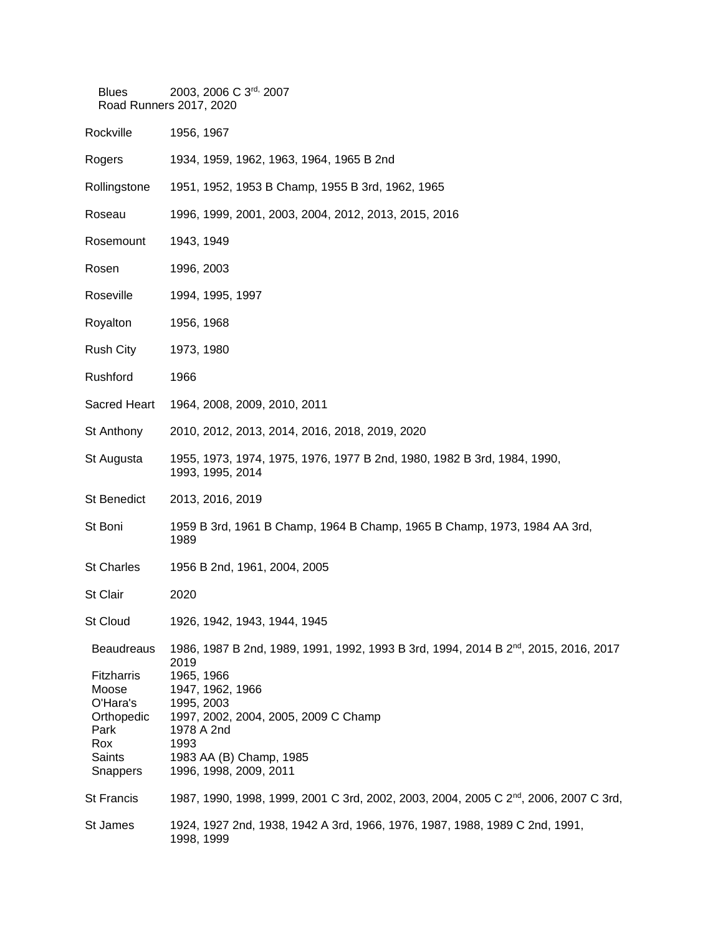| <b>Blues</b>                                    | 2003, 2006 C 3rd, 2007<br>Road Runners 2017, 2020                                                                                         |
|-------------------------------------------------|-------------------------------------------------------------------------------------------------------------------------------------------|
| Rockville                                       | 1956, 1967                                                                                                                                |
| Rogers                                          | 1934, 1959, 1962, 1963, 1964, 1965 B 2nd                                                                                                  |
| Rollingstone                                    | 1951, 1952, 1953 B Champ, 1955 B 3rd, 1962, 1965                                                                                          |
| Roseau                                          | 1996, 1999, 2001, 2003, 2004, 2012, 2013, 2015, 2016                                                                                      |
| Rosemount                                       | 1943, 1949                                                                                                                                |
| Rosen                                           | 1996, 2003                                                                                                                                |
| Roseville                                       | 1994, 1995, 1997                                                                                                                          |
| Royalton                                        | 1956, 1968                                                                                                                                |
| <b>Rush City</b>                                | 1973, 1980                                                                                                                                |
| Rushford                                        | 1966                                                                                                                                      |
| Sacred Heart                                    | 1964, 2008, 2009, 2010, 2011                                                                                                              |
| St Anthony                                      | 2010, 2012, 2013, 2014, 2016, 2018, 2019, 2020                                                                                            |
| St Augusta                                      | 1955, 1973, 1974, 1975, 1976, 1977 B 2nd, 1980, 1982 B 3rd, 1984, 1990,<br>1993, 1995, 2014                                               |
| St Benedict                                     | 2013, 2016, 2019                                                                                                                          |
| St Boni                                         | 1959 B 3rd, 1961 B Champ, 1964 B Champ, 1965 B Champ, 1973, 1984 AA 3rd,<br>1989                                                          |
| <b>St Charles</b>                               | 1956 B 2nd, 1961, 2004, 2005                                                                                                              |
| St Clair                                        | 2020                                                                                                                                      |
| <b>St Cloud</b>                                 | 1926, 1942, 1943, 1944, 1945                                                                                                              |
| <b>Beaudreaus</b><br>Fitzharris<br>Moose        | 1986, 1987 B 2nd, 1989, 1991, 1992, 1993 B 3rd, 1994, 2014 B 2 <sup>nd</sup> , 2015, 2016, 2017<br>2019<br>1965, 1966<br>1947, 1962, 1966 |
| O'Hara's<br>Orthopedic<br>Park<br>Rox<br>Saints | 1995, 2003<br>1997, 2002, 2004, 2005, 2009 C Champ<br>1978 A 2nd<br>1993<br>1983 AA (B) Champ, 1985                                       |
| <b>Snappers</b>                                 | 1996, 1998, 2009, 2011                                                                                                                    |
| <b>St Francis</b>                               | 1987, 1990, 1998, 1999, 2001 C 3rd, 2002, 2003, 2004, 2005 C 2 <sup>nd</sup> , 2006, 2007 C 3rd,                                          |
| St James                                        | 1924, 1927 2nd, 1938, 1942 A 3rd, 1966, 1976, 1987, 1988, 1989 C 2nd, 1991,<br>1998, 1999                                                 |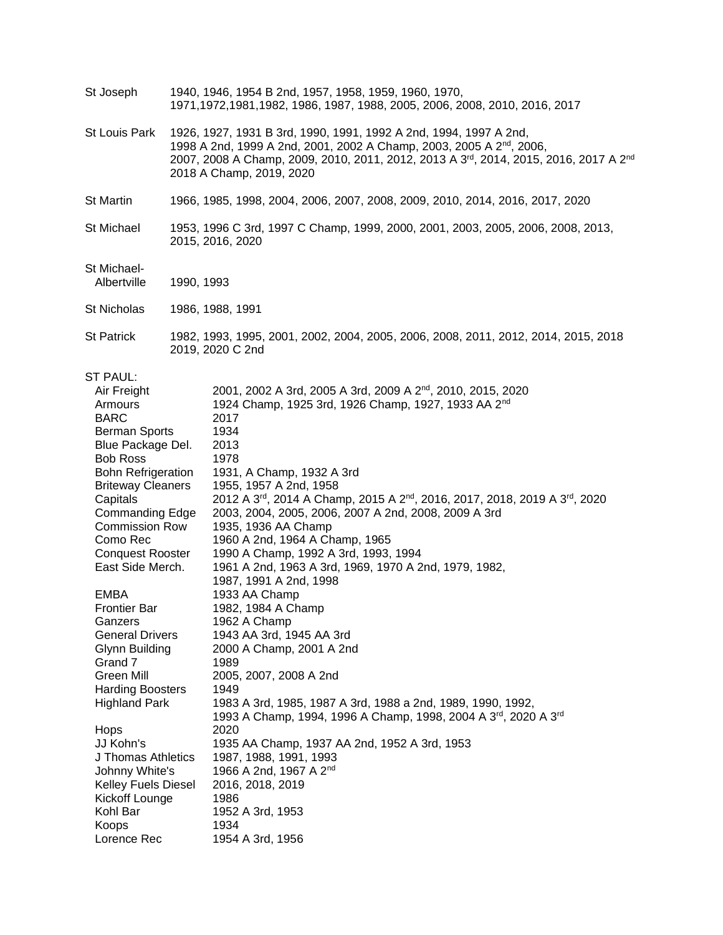| St Joseph | 1940, 1946, 1954 B 2nd, 1957, 1958, 1959, 1960, 1970,                     |
|-----------|---------------------------------------------------------------------------|
|           | 1971,1972,1981,1982, 1986, 1987, 1988, 2005, 2006, 2008, 2010, 2016, 2017 |

St Louis Park 1926, 1927, 1931 B 3rd, 1990, 1991, 1992 A 2nd, 1994, 1997 A 2nd, 1998 A 2nd, 1999 A 2nd, 2001, 2002 A Champ, 2003, 2005 A 2nd , 2006, 2007, 2008 A Champ, 2009, 2010, 2011, 2012, 2013 A 3<sup>rd</sup>, 2014, 2015, 2016, 2017 A 2<sup>nd</sup> 2018 A Champ, 2019, 2020

St Martin 1966, 1985, 1998, 2004, 2006, 2007, 2008, 2009, 2010, 2014, 2016, 2017, 2020

St Michael 1953, 1996 C 3rd, 1997 C Champ, 1999, 2000, 2001, 2003, 2005, 2006, 2008, 2013, 2015, 2016, 2020

## St Michael-

- 1990, 1993
- St Nicholas 1986, 1988, 1991
- St Patrick 1982, 1993, 1995, 2001, 2002, 2004, 2005, 2006, 2008, 2011, 2012, 2014, 2015, 2018 2019, 2020 C 2nd

## ST PAUL:

| Air Freight                | 2001, 2002 A 3rd, 2005 A 3rd, 2009 A 2 <sup>nd</sup> , 2010, 2015, 2020  |
|----------------------------|--------------------------------------------------------------------------|
| Armours                    | 1924 Champ, 1925 3rd, 1926 Champ, 1927, 1933 AA 2 <sup>nd</sup>          |
| <b>BARC</b>                | 2017                                                                     |
| Berman Sports              | 1934                                                                     |
| Blue Package Del.          | 2013                                                                     |
| <b>Bob Ross</b>            | 1978                                                                     |
| <b>Bohn Refrigeration</b>  | 1931, A Champ, 1932 A 3rd                                                |
| <b>Briteway Cleaners</b>   | 1955, 1957 A 2nd, 1958                                                   |
| Capitals                   | 2012 A 3rd, 2014 A Champ, 2015 A 2nd, 2016, 2017, 2018, 2019 A 3rd, 2020 |
| <b>Commanding Edge</b>     | 2003, 2004, 2005, 2006, 2007 A 2nd, 2008, 2009 A 3rd                     |
| <b>Commission Row</b>      | 1935, 1936 AA Champ                                                      |
| Como Rec                   | 1960 A 2nd, 1964 A Champ, 1965                                           |
| <b>Conquest Rooster</b>    | 1990 A Champ, 1992 A 3rd, 1993, 1994                                     |
| East Side Merch.           | 1961 A 2nd, 1963 A 3rd, 1969, 1970 A 2nd, 1979, 1982,                    |
|                            | 1987, 1991 A 2nd, 1998                                                   |
| <b>EMBA</b>                | 1933 AA Champ                                                            |
| <b>Frontier Bar</b>        | 1982, 1984 A Champ                                                       |
| Ganzers                    | 1962 A Champ                                                             |
| <b>General Drivers</b>     | 1943 AA 3rd, 1945 AA 3rd                                                 |
| Glynn Building             | 2000 A Champ, 2001 A 2nd                                                 |
| Grand 7                    | 1989                                                                     |
| Green Mill                 | 2005, 2007, 2008 A 2nd                                                   |
| <b>Harding Boosters</b>    | 1949                                                                     |
| <b>Highland Park</b>       | 1983 A 3rd, 1985, 1987 A 3rd, 1988 a 2nd, 1989, 1990, 1992,              |
|                            | 1993 A Champ, 1994, 1996 A Champ, 1998, 2004 A 3rd, 2020 A 3rd           |
| Hops                       | 2020                                                                     |
| JJ Kohn's                  | 1935 AA Champ, 1937 AA 2nd, 1952 A 3rd, 1953                             |
| J Thomas Athletics         | 1987, 1988, 1991, 1993                                                   |
| Johnny White's             | 1966 A 2nd, 1967 A 2 <sup>nd</sup>                                       |
| <b>Kelley Fuels Diesel</b> | 2016, 2018, 2019                                                         |
| Kickoff Lounge             | 1986                                                                     |
| Kohl Bar                   | 1952 A 3rd, 1953                                                         |
| Koops                      | 1934                                                                     |
| Lorence Rec                | 1954 A 3rd, 1956                                                         |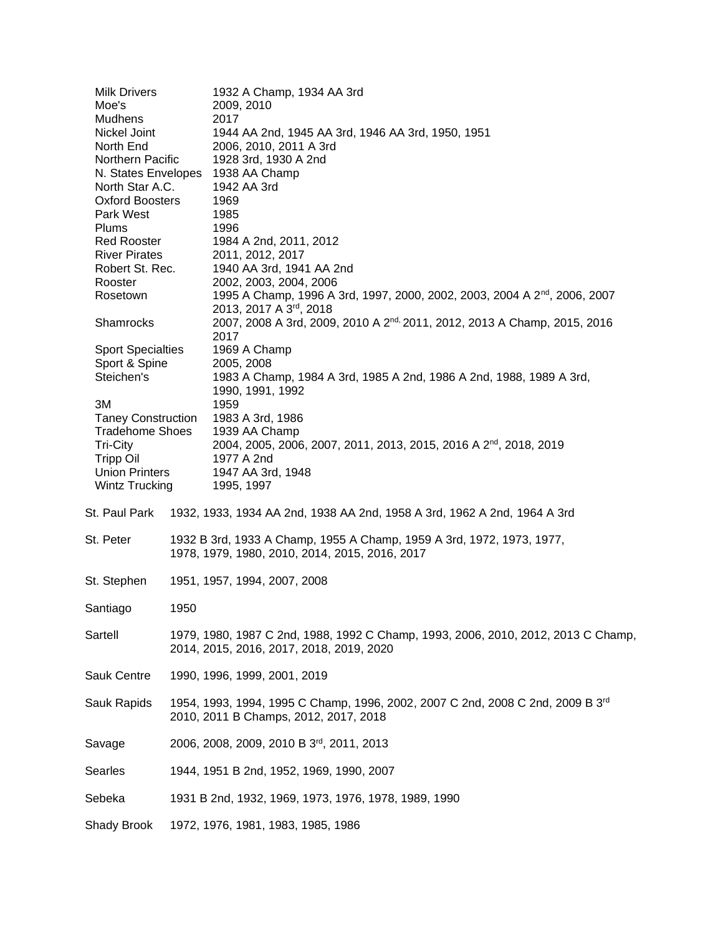| <b>Milk Drivers</b>       |      | 1932 A Champ, 1934 AA 3rd                                                                  |
|---------------------------|------|--------------------------------------------------------------------------------------------|
| Moe's                     |      | 2009, 2010                                                                                 |
| <b>Mudhens</b>            |      | 2017                                                                                       |
| Nickel Joint              |      | 1944 AA 2nd, 1945 AA 3rd, 1946 AA 3rd, 1950, 1951                                          |
| North End                 |      | 2006, 2010, 2011 A 3rd                                                                     |
| Northern Pacific          |      | 1928 3rd, 1930 A 2nd                                                                       |
| N. States Envelopes       |      | 1938 AA Champ                                                                              |
| North Star A.C.           |      | 1942 AA 3rd                                                                                |
| <b>Oxford Boosters</b>    |      | 1969                                                                                       |
| Park West                 |      | 1985                                                                                       |
| Plums                     |      | 1996                                                                                       |
| Red Rooster               |      | 1984 A 2nd, 2011, 2012                                                                     |
| <b>River Pirates</b>      |      | 2011, 2012, 2017                                                                           |
| Robert St. Rec.           |      | 1940 AA 3rd, 1941 AA 2nd                                                                   |
| Rooster                   |      | 2002, 2003, 2004, 2006                                                                     |
| Rosetown                  |      | 1995 A Champ, 1996 A 3rd, 1997, 2000, 2002, 2003, 2004 A 2 <sup>nd</sup> , 2006, 2007      |
|                           |      | 2013, 2017 A 3 <sup>rd</sup> , 2018                                                        |
| Shamrocks                 |      | 2007, 2008 A 3rd, 2009, 2010 A 2 <sup>nd,</sup> 2011, 2012, 2013 A Champ, 2015, 2016       |
|                           |      | 2017                                                                                       |
| <b>Sport Specialties</b>  |      | 1969 A Champ                                                                               |
| Sport & Spine             |      | 2005, 2008                                                                                 |
| Steichen's                |      | 1983 A Champ, 1984 A 3rd, 1985 A 2nd, 1986 A 2nd, 1988, 1989 A 3rd,                        |
|                           |      | 1990, 1991, 1992                                                                           |
| 3M                        |      | 1959                                                                                       |
| <b>Taney Construction</b> |      | 1983 A 3rd, 1986                                                                           |
| <b>Tradehome Shoes</b>    |      | 1939 AA Champ                                                                              |
| Tri-City                  |      | 2004, 2005, 2006, 2007, 2011, 2013, 2015, 2016 A 2 <sup>nd</sup> , 2018, 2019              |
| <b>Tripp Oil</b>          |      | 1977 A 2nd                                                                                 |
| <b>Union Printers</b>     |      | 1947 AA 3rd, 1948                                                                          |
| Wintz Trucking            |      | 1995, 1997                                                                                 |
| St. Paul Park             |      | 1932, 1933, 1934 AA 2nd, 1938 AA 2nd, 1958 A 3rd, 1962 A 2nd, 1964 A 3rd                   |
|                           |      |                                                                                            |
| St. Peter                 |      | 1932 B 3rd, 1933 A Champ, 1955 A Champ, 1959 A 3rd, 1972, 1973, 1977,                      |
|                           |      | 1978, 1979, 1980, 2010, 2014, 2015, 2016, 2017                                             |
|                           |      |                                                                                            |
| St. Stephen               |      | 1951, 1957, 1994, 2007, 2008                                                               |
|                           |      |                                                                                            |
| Santiago                  | 1950 |                                                                                            |
|                           |      |                                                                                            |
| Sartell                   |      | 1979, 1980, 1987 C 2nd, 1988, 1992 C Champ, 1993, 2006, 2010, 2012, 2013 C Champ,          |
|                           |      | 2014, 2015, 2016, 2017, 2018, 2019, 2020                                                   |
|                           |      |                                                                                            |
| <b>Sauk Centre</b>        |      | 1990, 1996, 1999, 2001, 2019                                                               |
|                           |      |                                                                                            |
| Sauk Rapids               |      | 1954, 1993, 1994, 1995 C Champ, 1996, 2002, 2007 C 2nd, 2008 C 2nd, 2009 B 3 <sup>rd</sup> |
|                           |      | 2010, 2011 B Champs, 2012, 2017, 2018                                                      |
|                           |      |                                                                                            |
| Savage                    |      | 2006, 2008, 2009, 2010 B 3rd, 2011, 2013                                                   |
|                           |      |                                                                                            |
| Searles                   |      | 1944, 1951 B 2nd, 1952, 1969, 1990, 2007                                                   |
|                           |      |                                                                                            |
| Sebeka                    |      | 1931 B 2nd, 1932, 1969, 1973, 1976, 1978, 1989, 1990                                       |
|                           |      |                                                                                            |
| Shady Brook               |      | 1972, 1976, 1981, 1983, 1985, 1986                                                         |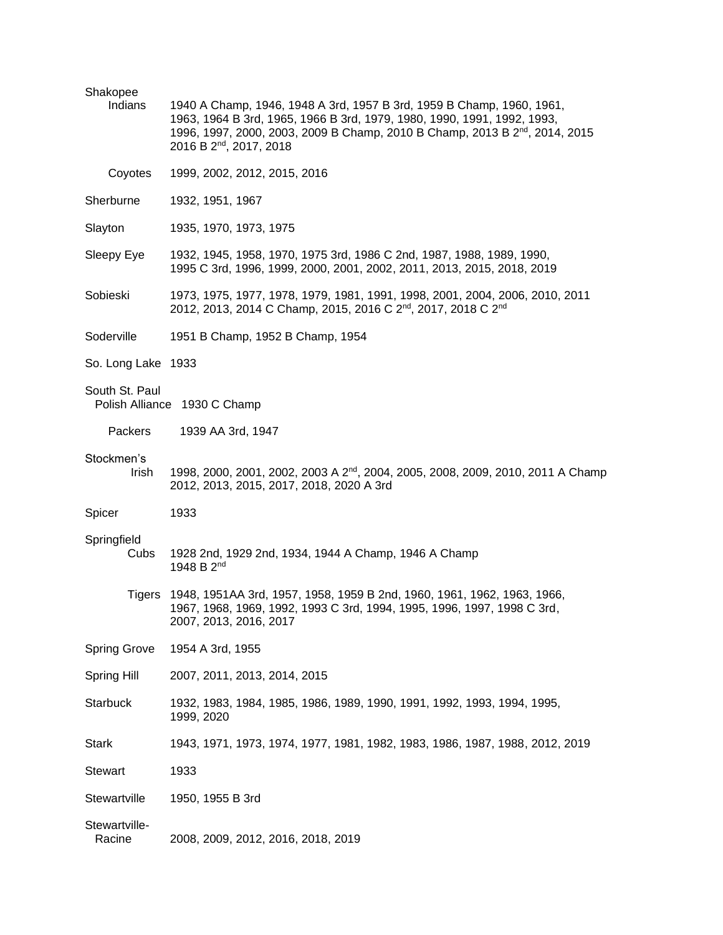| Shakopee<br>Indians     | 1940 A Champ, 1946, 1948 A 3rd, 1957 B 3rd, 1959 B Champ, 1960, 1961,<br>1963, 1964 B 3rd, 1965, 1966 B 3rd, 1979, 1980, 1990, 1991, 1992, 1993,<br>1996, 1997, 2000, 2003, 2009 B Champ, 2010 B Champ, 2013 B 2 <sup>nd</sup> , 2014, 2015<br>2016 B 2 <sup>nd</sup> , 2017, 2018 |
|-------------------------|------------------------------------------------------------------------------------------------------------------------------------------------------------------------------------------------------------------------------------------------------------------------------------|
| Coyotes                 | 1999, 2002, 2012, 2015, 2016                                                                                                                                                                                                                                                       |
| Sherburne               | 1932, 1951, 1967                                                                                                                                                                                                                                                                   |
| Slayton                 | 1935, 1970, 1973, 1975                                                                                                                                                                                                                                                             |
| Sleepy Eye              | 1932, 1945, 1958, 1970, 1975 3rd, 1986 C 2nd, 1987, 1988, 1989, 1990,<br>1995 C 3rd, 1996, 1999, 2000, 2001, 2002, 2011, 2013, 2015, 2018, 2019                                                                                                                                    |
| Sobieski                | 1973, 1975, 1977, 1978, 1979, 1981, 1991, 1998, 2001, 2004, 2006, 2010, 2011<br>2012, 2013, 2014 C Champ, 2015, 2016 C 2 <sup>nd</sup> , 2017, 2018 C 2 <sup>nd</sup>                                                                                                              |
| Soderville              | 1951 B Champ, 1952 B Champ, 1954                                                                                                                                                                                                                                                   |
| So. Long Lake 1933      |                                                                                                                                                                                                                                                                                    |
| South St. Paul          | Polish Alliance 1930 C Champ                                                                                                                                                                                                                                                       |
| Packers                 | 1939 AA 3rd, 1947                                                                                                                                                                                                                                                                  |
| Stockmen's<br>Irish     | 1998, 2000, 2001, 2002, 2003 A 2 <sup>nd</sup> , 2004, 2005, 2008, 2009, 2010, 2011 A Champ<br>2012, 2013, 2015, 2017, 2018, 2020 A 3rd                                                                                                                                            |
| Spicer                  | 1933                                                                                                                                                                                                                                                                               |
| Springfield<br>Cubs     | 1928 2nd, 1929 2nd, 1934, 1944 A Champ, 1946 A Champ<br>1948 B 2 <sup>nd</sup>                                                                                                                                                                                                     |
| <b>Tigers</b>           | 1948, 1951AA 3rd, 1957, 1958, 1959 B 2nd, 1960, 1961, 1962, 1963, 1966,<br>1967, 1968, 1969, 1992, 1993 C 3rd, 1994, 1995, 1996, 1997, 1998 C 3rd,<br>2007, 2013, 2016, 2017                                                                                                       |
| <b>Spring Grove</b>     | 1954 A 3rd, 1955                                                                                                                                                                                                                                                                   |
| Spring Hill             | 2007, 2011, 2013, 2014, 2015                                                                                                                                                                                                                                                       |
| <b>Starbuck</b>         | 1932, 1983, 1984, 1985, 1986, 1989, 1990, 1991, 1992, 1993, 1994, 1995,<br>1999, 2020                                                                                                                                                                                              |
| <b>Stark</b>            | 1943, 1971, 1973, 1974, 1977, 1981, 1982, 1983, 1986, 1987, 1988, 2012, 2019                                                                                                                                                                                                       |
| <b>Stewart</b>          | 1933                                                                                                                                                                                                                                                                               |
| Stewartville            | 1950, 1955 B 3rd                                                                                                                                                                                                                                                                   |
| Stewartville-<br>Racine | 2008, 2009, 2012, 2016, 2018, 2019                                                                                                                                                                                                                                                 |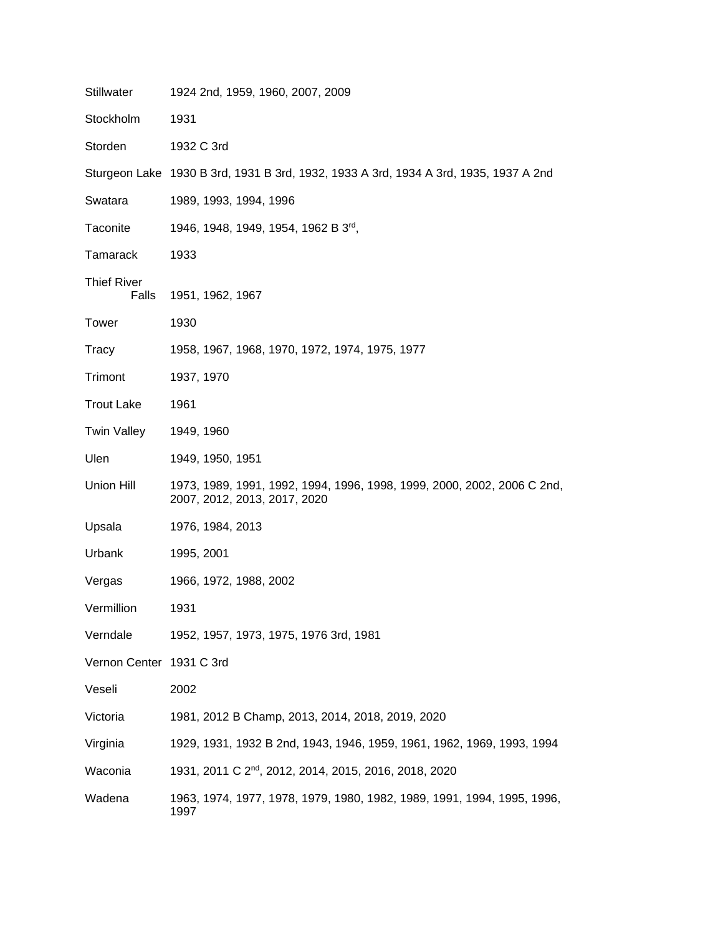| Stillwater                  | 1924 2nd, 1959, 1960, 2007, 2009                                                                        |
|-----------------------------|---------------------------------------------------------------------------------------------------------|
| Stockholm                   | 1931                                                                                                    |
| Storden                     | 1932 C 3rd                                                                                              |
|                             | Sturgeon Lake 1930 B 3rd, 1931 B 3rd, 1932, 1933 A 3rd, 1934 A 3rd, 1935, 1937 A 2nd                    |
| Swatara                     | 1989, 1993, 1994, 1996                                                                                  |
| Taconite                    | 1946, 1948, 1949, 1954, 1962 B 3rd,                                                                     |
| Tamarack                    | 1933                                                                                                    |
| <b>Thief River</b><br>Falls | 1951, 1962, 1967                                                                                        |
| Tower                       | 1930                                                                                                    |
| Tracy                       | 1958, 1967, 1968, 1970, 1972, 1974, 1975, 1977                                                          |
| Trimont                     | 1937, 1970                                                                                              |
| <b>Trout Lake</b>           | 1961                                                                                                    |
| Twin Valley                 | 1949, 1960                                                                                              |
| Ulen                        | 1949, 1950, 1951                                                                                        |
| Union Hill                  | 1973, 1989, 1991, 1992, 1994, 1996, 1998, 1999, 2000, 2002, 2006 C 2nd,<br>2007, 2012, 2013, 2017, 2020 |
| Upsala                      | 1976, 1984, 2013                                                                                        |
| Urbank                      | 1995, 2001                                                                                              |
| Vergas                      | 1966, 1972, 1988, 2002                                                                                  |
| Vermillion                  | 1931                                                                                                    |
| Verndale                    | 1952, 1957, 1973, 1975, 1976 3rd, 1981                                                                  |
| Vernon Center 1931 C 3rd    |                                                                                                         |
| Veseli                      | 2002                                                                                                    |
| Victoria                    | 1981, 2012 B Champ, 2013, 2014, 2018, 2019, 2020                                                        |
| Virginia                    | 1929, 1931, 1932 B 2nd, 1943, 1946, 1959, 1961, 1962, 1969, 1993, 1994                                  |
| Waconia                     | 1931, 2011 C 2 <sup>nd</sup> , 2012, 2014, 2015, 2016, 2018, 2020                                       |
| Wadena                      | 1963, 1974, 1977, 1978, 1979, 1980, 1982, 1989, 1991, 1994, 1995, 1996,<br>1997                         |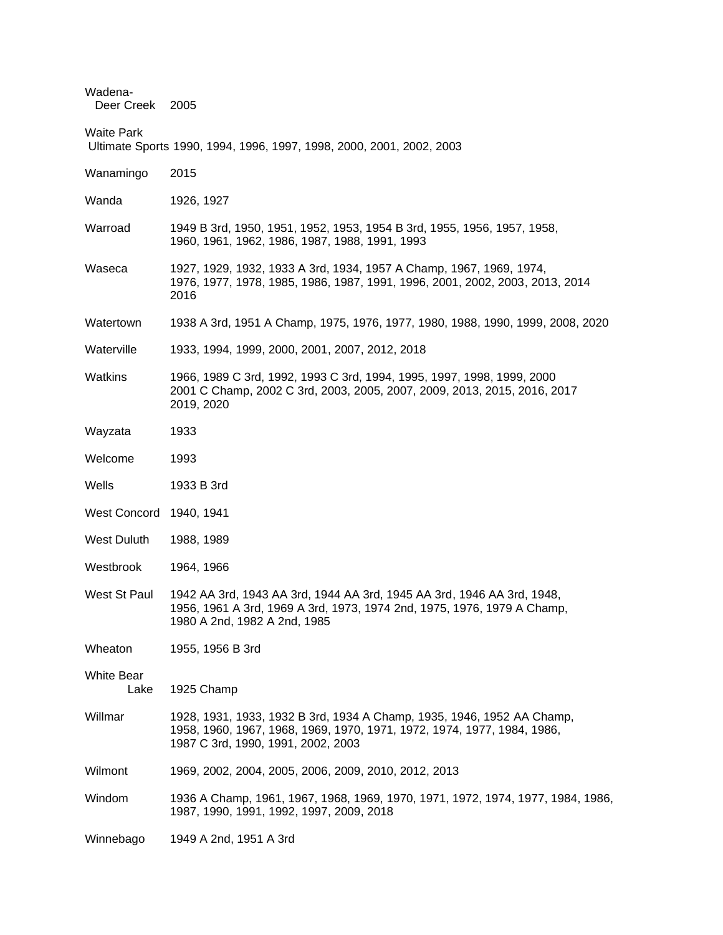| Wadena-<br>Deer Creek 2005 |                                                                                                                                                                                         |
|----------------------------|-----------------------------------------------------------------------------------------------------------------------------------------------------------------------------------------|
| <b>Waite Park</b>          | Ultimate Sports 1990, 1994, 1996, 1997, 1998, 2000, 2001, 2002, 2003                                                                                                                    |
| Wanamingo                  | 2015                                                                                                                                                                                    |
| Wanda                      | 1926, 1927                                                                                                                                                                              |
| Warroad                    | 1949 B 3rd, 1950, 1951, 1952, 1953, 1954 B 3rd, 1955, 1956, 1957, 1958,<br>1960, 1961, 1962, 1986, 1987, 1988, 1991, 1993                                                               |
| Waseca                     | 1927, 1929, 1932, 1933 A 3rd, 1934, 1957 A Champ, 1967, 1969, 1974,<br>1976, 1977, 1978, 1985, 1986, 1987, 1991, 1996, 2001, 2002, 2003, 2013, 2014<br>2016                             |
| Watertown                  | 1938 A 3rd, 1951 A Champ, 1975, 1976, 1977, 1980, 1988, 1990, 1999, 2008, 2020                                                                                                          |
| Waterville                 | 1933, 1994, 1999, 2000, 2001, 2007, 2012, 2018                                                                                                                                          |
| <b>Watkins</b>             | 1966, 1989 C 3rd, 1992, 1993 C 3rd, 1994, 1995, 1997, 1998, 1999, 2000<br>2001 C Champ, 2002 C 3rd, 2003, 2005, 2007, 2009, 2013, 2015, 2016, 2017<br>2019, 2020                        |
| Wayzata                    | 1933                                                                                                                                                                                    |
| Welcome                    | 1993                                                                                                                                                                                    |
| Wells                      | 1933 B 3rd                                                                                                                                                                              |
| <b>West Concord</b>        | 1940, 1941                                                                                                                                                                              |
| <b>West Duluth</b>         | 1988, 1989                                                                                                                                                                              |
| Westbrook                  | 1964, 1966                                                                                                                                                                              |
| West St Paul               | 1942 AA 3rd, 1943 AA 3rd, 1944 AA 3rd, 1945 AA 3rd, 1946 AA 3rd, 1948,<br>1956, 1961 A 3rd, 1969 A 3rd, 1973, 1974 2nd, 1975, 1976, 1979 A Champ,<br>1980 A 2nd, 1982 A 2nd, 1985       |
| Wheaton                    | 1955, 1956 B 3rd                                                                                                                                                                        |
| <b>White Bear</b><br>Lake  | 1925 Champ                                                                                                                                                                              |
| Willmar                    | 1928, 1931, 1933, 1932 B 3rd, 1934 A Champ, 1935, 1946, 1952 AA Champ,<br>1958, 1960, 1967, 1968, 1969, 1970, 1971, 1972, 1974, 1977, 1984, 1986,<br>1987 C 3rd, 1990, 1991, 2002, 2003 |
| Wilmont                    | 1969, 2002, 2004, 2005, 2006, 2009, 2010, 2012, 2013                                                                                                                                    |
| Windom                     | 1936 A Champ, 1961, 1967, 1968, 1969, 1970, 1971, 1972, 1974, 1977, 1984, 1986,<br>1987, 1990, 1991, 1992, 1997, 2009, 2018                                                             |
| Winnebago                  | 1949 A 2nd, 1951 A 3rd                                                                                                                                                                  |